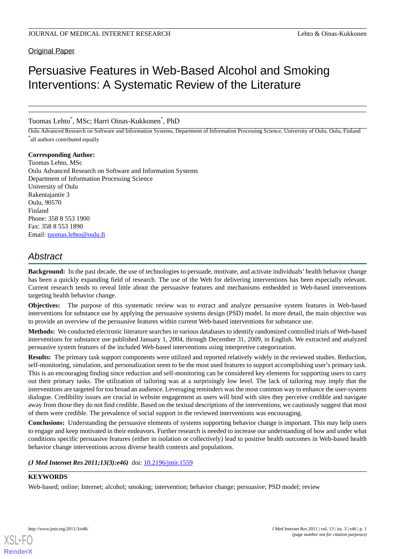### Original Paper

# Persuasive Features in Web-Based Alcohol and Smoking Interventions: A Systematic Review of the Literature

Tuomas Lehto\* , MSc; Harri Oinas-Kukkonen\* , PhD

Oulu Advanced Research on Software and Information Systems, Department of Information Processing Science, University of Oulu, Oulu, Finland \* all authors contributed equally

**Corresponding Author:** Tuomas Lehto, MSc Oulu Advanced Research on Software and Information Systems Department of Information Processing Science University of Oulu Rakentajantie 3 Oulu, 90570 Finland Phone: 358 8 553 1900 Fax: 358 8 553 1890 Email: [tuomas.lehto@oulu.fi](mailto:tuomas.lehto@oulu.fi)

## *Abstract*

**Background:** In the past decade, the use of technologies to persuade, motivate, and activate individuals' health behavior change has been a quickly expanding field of research. The use of the Web for delivering interventions has been especially relevant. Current research tends to reveal little about the persuasive features and mechanisms embedded in Web-based interventions targeting health behavior change.

**Objectives:** The purpose of this systematic review was to extract and analyze persuasive system features in Web-based interventions for substance use by applying the persuasive systems design (PSD) model. In more detail, the main objective was to provide an overview of the persuasive features within current Web-based interventions for substance use.

**Methods:** We conducted electronic literature searches in various databases to identify randomized controlled trials of Web-based interventions for substance use published January 1, 2004, through December 31, 2009, in English. We extracted and analyzed persuasive system features of the included Web-based interventions using interpretive categorization.

**Results:** The primary task support components were utilized and reported relatively widely in the reviewed studies. Reduction, self-monitoring, simulation, and personalization seem to be the most used features to support accomplishing user's primary task. This is an encouraging finding since reduction and self-monitoring can be considered key elements for supporting users to carry out their primary tasks. The utilization of tailoring was at a surprisingly low level. The lack of tailoring may imply that the interventions are targeted for too broad an audience. Leveraging reminders was the most common way to enhance the user-system dialogue. Credibility issues are crucial in website engagement as users will bind with sites they perceive credible and navigate away from those they do not find credible. Based on the textual descriptions of the interventions, we cautiously suggest that most of them were credible. The prevalence of social support in the reviewed interventions was encouraging.

**Conclusions:** Understanding the persuasive elements of systems supporting behavior change is important. This may help users to engage and keep motivated in their endeavors. Further research is needed to increase our understanding of how and under what conditions specific persuasive features (either in isolation or collectively) lead to positive health outcomes in Web-based health behavior change interventions across diverse health contexts and populations.

#### *(J Med Internet Res 2011;13(3):e46)* doi:  $10.2196/$ jmir.1559

#### **KEYWORDS**

Web-based; online; Internet; alcohol; smoking; intervention; behavior change; persuasive; PSD model; review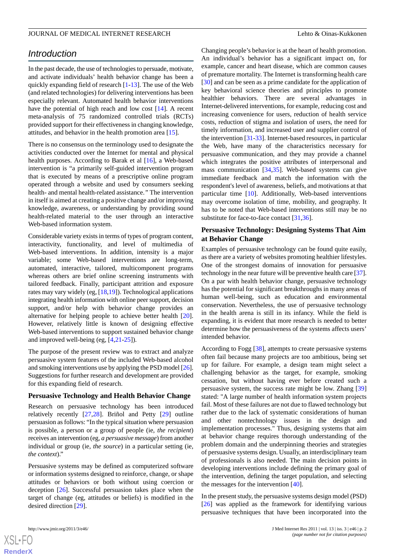### *Introduction*

In the past decade, the use of technologies to persuade, motivate, and activate individuals' health behavior change has been a quickly expanding field of research [[1-](#page-15-0)[13\]](#page-16-0). The use of the Web (and related technologies) for delivering interventions has been especially relevant. Automated health behavior interventions have the potential of high reach and low cost [[14\]](#page-16-1). A recent meta-analysis of 75 randomized controlled trials (RCTs) provided support for their effectiveness in changing knowledge, attitudes, and behavior in the health promotion area [\[15](#page-16-2)].

There is no consensus on the terminology used to designate the activities conducted over the Internet for mental and physical health purposes. According to Barak et al [\[16](#page-16-3)], a Web-based intervention is "a primarily self-guided intervention program that is executed by means of a prescriptive online program operated through a website and used by consumers seeking health- and mental health-related assistance.*"* The intervention in itself is aimed at creating a positive change and/or improving knowledge, awareness, or understanding by providing sound health-related material to the user through an interactive Web-based information system.

Considerable variety exists in terms of types of program content, interactivity, functionality, and level of multimedia of Web-based interventions. In addition, intensity is a major variable; some Web-based interventions are long-term, automated, interactive, tailored, multicomponent programs whereas others are brief online screening instruments with tailored feedback. Finally, participant attrition and exposure rates may vary widely (eg, [\[18](#page-16-4),[19\]](#page-16-5)). Technological applications integrating health information with online peer support, decision support, and/or help with behavior change provides an alternative for helping people to achieve better health [[20\]](#page-16-6). However, relatively little is known of designing effective Web-based interventions to support sustained behavior change and improved well-being (eg, [\[4](#page-15-1),[21-](#page-16-7)[25](#page-16-8)]).

The purpose of the present review was to extract and analyze persuasive system features of the included Web-based alcohol and smoking interventions use by applying the PSD model [\[26\]](#page-16-9). Suggestions for further research and development are provided for this expanding field of research.

#### **Persuasive Technology and Health Behavior Change**

Research on persuasive technology has been introduced relatively recently [[27,](#page-16-10)[28](#page-16-11)]. Briñol and Petty [\[29](#page-16-12)] outline persuasion as follows: "In the typical situation where persuasion is possible, a person or a group of people (ie, *the recipient*) receives an intervention (eg, *a persuasive message*) from another individual or group (ie, *the source*) in a particular setting (ie, *the context*)."

Persuasive systems may be defined as computerized software or information systems designed to reinforce, change, or shape attitudes or behaviors or both without using coercion or deception [\[26](#page-16-9)]. Successful persuasion takes place when the target of change (eg, attitudes or beliefs) is modified in the desired direction [\[29](#page-16-12)].

Changing people's behavior is at the heart of health promotion. An individual's behavior has a significant impact on, for example, cancer and heart disease, which are common causes of premature mortality. The Internet is transforming health care [[30\]](#page-16-13) and can be seen as a prime candidate for the application of key behavioral science theories and principles to promote healthier behaviors. There are several advantages in Internet-delivered interventions, for example, reducing cost and increasing convenience for users, reduction of health service costs, reduction of stigma and isolation of users, the need for timely information, and increased user and supplier control of the intervention [[31-](#page-16-14)[33\]](#page-17-0). Internet-based resources, in particular the Web, have many of the characteristics necessary for persuasive communication, and they may provide a channel which integrates the positive attributes of interpersonal and mass communication [[34,](#page-17-1)[35](#page-17-2)]. Web-based systems can give immediate feedback and match the information with the respondent's level of awareness, beliefs, and motivations at that particular time [\[10](#page-16-15)]. Additionally, Web-based interventions may overcome isolation of time, mobility, and geography. It has to be noted that Web-based interventions still may be no substitute for face-to-face contact [\[31](#page-16-14),[36\]](#page-17-3).

### **Persuasive Technology: Designing Systems That Aim at Behavior Change**

Examples of persuasive technology can be found quite easily, as there are a variety of websites promoting healthier lifestyles. One of the strongest domains of innovation for persuasive technology in the near future will be preventive health care [\[37](#page-17-4)]. On a par with health behavior change, persuasive technology has the potential for significant breakthroughs in many areas of human well-being, such as education and environmental conservation. Nevertheless, the use of persuasive technology in the health arena is still in its infancy. While the field is expanding, it is evident that more research is needed to better determine how the persuasiveness of the systems affects users' intended behavior.

According to Fogg [\[38](#page-17-5)], attempts to create persuasive systems often fail because many projects are too ambitious, being set up for failure. For example, a design team might select a challenging behavior as the target, for example, smoking cessation, but without having ever before created such a persuasive system, the success rate might be low. Zhang [\[39](#page-17-6)] stated: "A large number of health information system projects fail. Most of these failures are not due to flawed technology but rather due to the lack of systematic considerations of human and other nontechnology issues in the design and implementation processes." Thus, designing systems that aim at behavior change requires thorough understanding of the problem domain and the underpinning theories and strategies of persuasive systems design. Usually, an interdisciplinary team of professionals is also needed. The main decision points in developing interventions include defining the primary goal of the intervention, defining the target population, and selecting the messages for the intervention [[40\]](#page-17-7).

In the present study, the persuasive systems design model (PSD) [[26\]](#page-16-9) was applied as the framework for identifying various persuasive techniques that have been incorporated into the

 $XS$ -FO **[RenderX](http://www.renderx.com/)**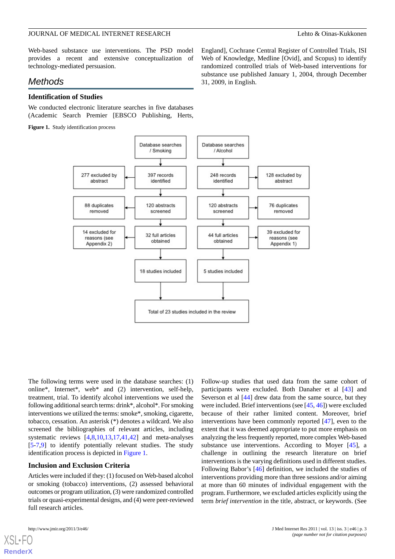Web-based substance use interventions. The PSD model provides a recent and extensive conceptualization of technology-mediated persuasion.

### *Methods*

#### **Identification of Studies**

<span id="page-2-0"></span>We conducted electronic literature searches in five databases (Academic Search Premier [EBSCO Publishing, Herts,

**Figure 1.** Study identification process

England], Cochrane Central Register of Controlled Trials, ISI Web of Knowledge, Medline [Ovid], and Scopus) to identify randomized controlled trials of Web-based interventions for substance use published January 1, 2004, through December 31, 2009, in English.



The following terms were used in the database searches: (1) online\*, Internet\*, web\* and (2) intervention, self-help, treatment, trial. To identify alcohol interventions we used the following additional search terms: drink\*, alcohol\*. For smoking interventions we utilized the terms: smoke\*, smoking, cigarette, tobacco, cessation. An asterisk (\*) denotes a wildcard. We also screened the bibliographies of relevant articles, including systematic reviews [\[4](#page-15-1),[8](#page-16-16)[,10](#page-16-15),[13](#page-16-0)[,17](#page-16-17),[41](#page-17-8)[,42](#page-17-9)] and meta-analyses [[5](#page-15-2)[-7](#page-16-18),[9\]](#page-16-19) to identify potentially relevant studies. The study identification process is depicted in [Figure 1](#page-2-0).

#### **Inclusion and Exclusion Criteria**

Articles were included if they: (1) focused on Web-based alcohol or smoking (tobacco) interventions, (2) assessed behavioral outcomes or program utilization, (3) were randomized controlled trials or quasi-experimental designs, and (4) were peer-reviewed full research articles.

[XSL](http://www.w3.org/Style/XSL)•FO **[RenderX](http://www.renderx.com/)**

Follow-up studies that used data from the same cohort of participants were excluded. Both Danaher et al [\[43](#page-17-10)] and Severson et al [\[44](#page-17-11)] drew data from the same source, but they were included. Brief interventions (see [\[45](#page-17-12), [46\]](#page-17-13)) were excluded because of their rather limited content. Moreover, brief interventions have been commonly reported [[47\]](#page-17-14), even to the extent that it was deemed appropriate to put more emphasis on analyzing the less frequently reported, more complex Web-based substance use interventions. According to Moyer [\[45](#page-17-12)], a challenge in outlining the research literature on brief interventions is the varying definitions used in different studies. Following Babor's [\[46](#page-17-13)] definition, we included the studies of interventions providing more than three sessions and/or aiming at more than 60 minutes of individual engagement with the program. Furthermore, we excluded articles explicitly using the term *brief intervention* in the title, abstract, or keywords. (See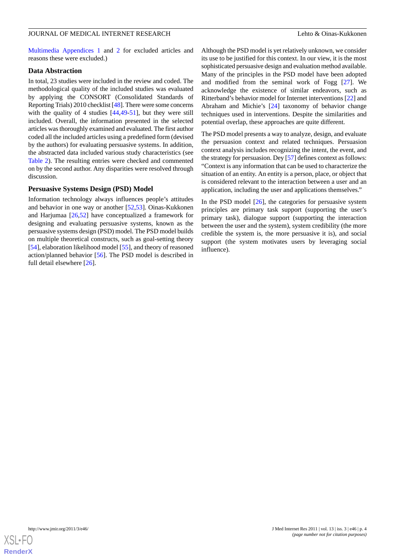[Multimedia Appendices 1](#page-15-3) and [2](#page-15-4) for excluded articles and reasons these were excluded.)

#### **Data Abstraction**

In total, 23 studies were included in the review and coded. The methodological quality of the included studies was evaluated by applying the CONSORT (Consolidated Standards of Reporting Trials) 2010 checklist [[48\]](#page-17-15). There were some concerns with the quality of 4 studies [\[44](#page-17-11),[49](#page-17-16)[-51](#page-17-17)], but they were still included. Overall, the information presented in the selected articles was thoroughly examined and evaluated. The first author coded all the included articles using a predefined form (devised by the authors) for evaluating persuasive systems. In addition, the abstracted data included various study characteristics (see [Table 2\)](#page-13-0). The resulting entries were checked and commented on by the second author. Any disparities were resolved through discussion.

#### **Persuasive Systems Design (PSD) Model**

Information technology always influences people's attitudes and behavior in one way or another [\[52](#page-17-18),[53\]](#page-17-19). Oinas-Kukkonen and Harjumaa [[26,](#page-16-9)[52](#page-17-18)] have conceptualized a framework for designing and evaluating persuasive systems, known as the persuasive systems design (PSD) model. The PSD model builds on multiple theoretical constructs, such as goal-setting theory [[54\]](#page-17-20), elaboration likelihood model [[55\]](#page-17-21), and theory of reasoned action/planned behavior [[56\]](#page-17-22). The PSD model is described in full detail elsewhere [\[26](#page-16-9)].

Although the PSD model is yet relatively unknown, we consider its use to be justified for this context. In our view, it is the most sophisticated persuasive design and evaluation method available. Many of the principles in the PSD model have been adopted and modified from the seminal work of Fogg [[27\]](#page-16-10). We acknowledge the existence of similar endeavors, such as Ritterband's behavior model for Internet interventions [[22\]](#page-16-20) and Abraham and Michie's [\[24](#page-16-21)] taxonomy of behavior change techniques used in interventions. Despite the similarities and potential overlap, these approaches are quite different.

The PSD model presents a way to analyze, design, and evaluate the persuasion context and related techniques. Persuasion context analysis includes recognizing the intent, the event, and the strategy for persuasion. Dey [\[57](#page-17-23)] defines context as follows: "Context is any information that can be used to characterize the situation of an entity. An entity is a person, place, or object that is considered relevant to the interaction between a user and an application, including the user and applications themselves."

In the PSD model  $[26]$  $[26]$ , the categories for persuasive system principles are primary task support (supporting the user's primary task), dialogue support (supporting the interaction between the user and the system), system credibility (the more credible the system is, the more persuasive it is), and social support (the system motivates users by leveraging social influence).

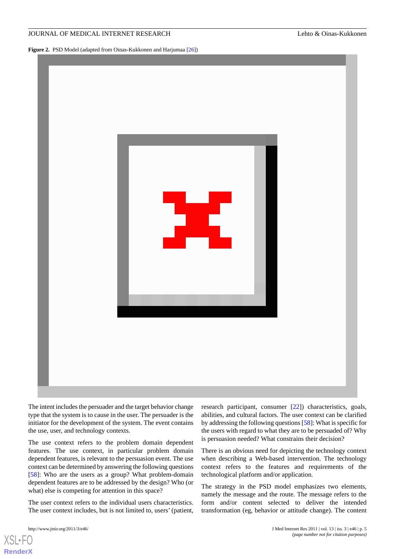**Figure 2.** PSD Model (adapted from Oinas-Kukkonen and Harjumaa [\[26\]](#page-16-9))



The intent includes the persuader and the target behavior change type that the system is to cause in the user. The persuader is the initiator for the development of the system. The event contains the use, user, and technology contexts.

The use context refers to the problem domain dependent features. The use context, in particular problem domain dependent features, is relevant to the persuasion event. The use context can be determined by answering the following questions [[58\]](#page-17-24): Who are the users as a group? What problem-domain dependent features are to be addressed by the design? Who (or what) else is competing for attention in this space?

The user context refers to the individual users characteristics. The user context includes, but is not limited to, users' (patient,

[XSL](http://www.w3.org/Style/XSL)•FO **[RenderX](http://www.renderx.com/)**

research participant, consumer [\[22](#page-16-20)]) characteristics, goals, abilities, and cultural factors. The user context can be clarified by addressing the following questions [\[58](#page-17-24)]: What is specific for the users with regard to what they are to be persuaded of? Why is persuasion needed? What constrains their decision?

There is an obvious need for depicting the technology context when describing a Web-based intervention. The technology context refers to the features and requirements of the technological platform and/or application.

The strategy in the PSD model emphasizes two elements, namely the message and the route. The message refers to the form and/or content selected to deliver the intended transformation (eg, behavior or attitude change). The content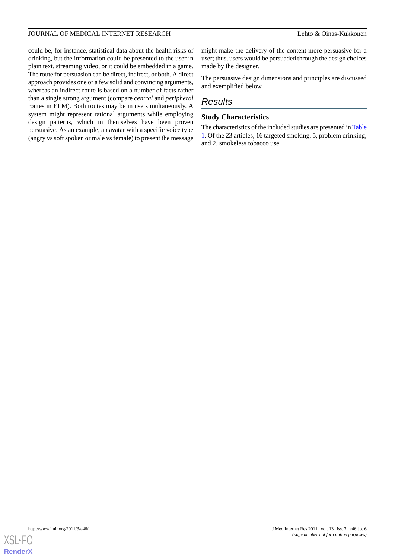could be, for instance, statistical data about the health risks of drinking, but the information could be presented to the user in plain text, streaming video, or it could be embedded in a game. The route for persuasion can be direct, indirect, or both. A direct approach provides one or a few solid and convincing arguments, whereas an indirect route is based on a number of facts rather than a single strong argument (compare *central* and *peripheral* routes in ELM). Both routes may be in use simultaneously. A system might represent rational arguments while employing design patterns, which in themselves have been proven persuasive. As an example, an avatar with a specific voice type (angry vs soft spoken or male vs female) to present the message

might make the delivery of the content more persuasive for a user; thus, users would be persuaded through the design choices made by the designer.

The persuasive design dimensions and principles are discussed and exemplified below.

### *Results*

#### **Study Characteristics**

The characteristics of the included studies are presented in [Table](#page-6-0) [1.](#page-6-0) Of the 23 articles, 16 targeted smoking, 5, problem drinking, and 2, smokeless tobacco use.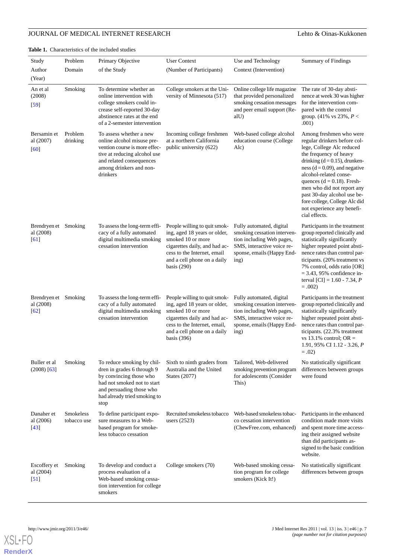<span id="page-6-0"></span>**Table 1.** Characteristics of the included studies

| Study                                          | Problem                  | Primary Objective                                                                                                                                                                         | <b>User Context</b>                                                                                                                                                                               | Use and Technology                                                                                                                                       | <b>Summary of Findings</b>                                                                                                                                                                                                                                                                                                                                                                      |
|------------------------------------------------|--------------------------|-------------------------------------------------------------------------------------------------------------------------------------------------------------------------------------------|---------------------------------------------------------------------------------------------------------------------------------------------------------------------------------------------------|----------------------------------------------------------------------------------------------------------------------------------------------------------|-------------------------------------------------------------------------------------------------------------------------------------------------------------------------------------------------------------------------------------------------------------------------------------------------------------------------------------------------------------------------------------------------|
| Author                                         | Domain                   | of the Study                                                                                                                                                                              | (Number of Participants)                                                                                                                                                                          | Context (Intervention)                                                                                                                                   |                                                                                                                                                                                                                                                                                                                                                                                                 |
| (Year)                                         |                          |                                                                                                                                                                                           |                                                                                                                                                                                                   |                                                                                                                                                          |                                                                                                                                                                                                                                                                                                                                                                                                 |
| An et al<br>(2008)<br>$[59]$                   | Smoking                  | To determine whether an<br>online intervention with<br>college smokers could in-<br>crease self-reported 30-day<br>abstinence rates at the end<br>of a 2-semester intervention            | College smokers at the Uni-<br>versity of Minnesota (517)                                                                                                                                         | Online college life magazine<br>that provided personalized<br>smoking cessation messages<br>and peer email support (Re-<br>alU)                          | The rate of 30-day absti-<br>nence at week 30 was higher<br>for the intervention com-<br>pared with the control<br>group. $(41\% \text{ vs } 23\%, P <$<br>.001)                                                                                                                                                                                                                                |
| Bersamin et<br>al (2007)<br>[60]               | Problem<br>drinking      | To assess whether a new<br>online alcohol misuse pre-<br>vention course is more effec-<br>tive at reducing alcohol use<br>and related consequences<br>among drinkers and non-<br>drinkers | Incoming college freshmen<br>at a northern California<br>public university (622)                                                                                                                  | Web-based college alcohol<br>education course (College<br>Alc)                                                                                           | Among freshmen who were<br>regular drinkers before col-<br>lege, College Alc reduced<br>the frequency of heavy<br>drinking $(d = 0.15)$ , drunken-<br>ness ( $d = 0.09$ ), and negative<br>alcohol-related conse-<br>quences $(d = 0.18)$ . Fresh-<br>men who did not report any<br>past 30-day alcohol use be-<br>fore college, College Alc did<br>not experience any benefi-<br>cial effects. |
| Brendryen et Smoking<br>al (2008)<br>[61]      |                          | To assess the long-term effi-<br>cacy of a fully automated<br>digital multimedia smoking<br>cessation intervention                                                                        | People willing to quit smok-<br>ing, aged 18 years or older,<br>smoked 10 or more<br>cigarettes daily, and had ac-<br>cess to the Internet, email<br>and a cell phone on a daily<br>basis $(290)$ | Fully automated, digital<br>smoking cessation interven-<br>tion including Web pages,<br>SMS, interactive voice re-<br>sponse, emails (Happy End-<br>ing) | Participants in the treatment<br>group reported clinically and<br>statistically significantly<br>higher repeated point absti-<br>nence rates than control par-<br>ticipants. (20% treatment vs<br>7% control, odds ratio [OR]<br>$=$ 3.43, 95% confidence in-<br>terval [CI] = $1.60 - 7.34$ , <i>P</i><br>$=.002)$                                                                             |
| Brendryen et Smoking<br>al (2008)<br>[62]      |                          | To assess the long-term effi-<br>cacy of a fully automated<br>digital multimedia smoking<br>cessation intervention                                                                        | People willing to quit smok-<br>ing, aged 18 years or older,<br>smoked 10 or more<br>cigarettes daily and had ac-<br>cess to the Internet, email,<br>and a cell phone on a daily<br>basis $(396)$ | Fully automated, digital<br>smoking cessation interven-<br>tion including Web pages,<br>SMS, interactive voice re-<br>sponse, emails (Happy End-<br>ing) | Participants in the treatment<br>group reported clinically and<br>statistically significantly<br>higher repeated point absti-<br>nence rates than control par-<br>ticipants. (22.3% treatment<br>vs 13.1% control; OR $=$<br>1.91, 95% CI 1.12 - 3.26, P<br>$=.02)$                                                                                                                             |
| Buller et al<br>$(2008)$ [63]                  | Smoking                  | To reduce smoking by chil-<br>dren in grades 6 through 9<br>by convincing those who<br>had not smoked not to start<br>and persuading those who<br>had already tried smoking to<br>stop    | Sixth to ninth graders from<br>Australia and the United<br>States (2077)                                                                                                                          | Tailored, Web-delivered<br>smoking prevention program<br>for adolescents (Consider<br>This)                                                              | No statistically significant<br>differences between groups<br>were found                                                                                                                                                                                                                                                                                                                        |
| Danaher et<br>al (2006)<br>$[43]$              | Smokeless<br>tobacco use | To define participant expo-<br>sure measures to a Web-<br>based program for smoke-<br>less tobacco cessation                                                                              | Recruited smokeless tobacco<br>users $(2523)$                                                                                                                                                     | Web-based smokeless tobac-<br>co cessation intervention<br>(ChewFree.com, enhanced)                                                                      | Participants in the enhanced<br>condition made more visits<br>and spent more time access-<br>ing their assigned website<br>than did participants as-<br>signed to the basic condition<br>website.                                                                                                                                                                                               |
| Escoffery et<br>al (2004)<br>$\left[51\right]$ | Smoking                  | To develop and conduct a<br>process evaluation of a<br>Web-based smoking cessa-<br>tion intervention for college<br>smokers                                                               | College smokers (70)                                                                                                                                                                              | Web-based smoking cessa-<br>tion program for college<br>smokers (Kick It!)                                                                               | No statistically significant<br>differences between groups                                                                                                                                                                                                                                                                                                                                      |

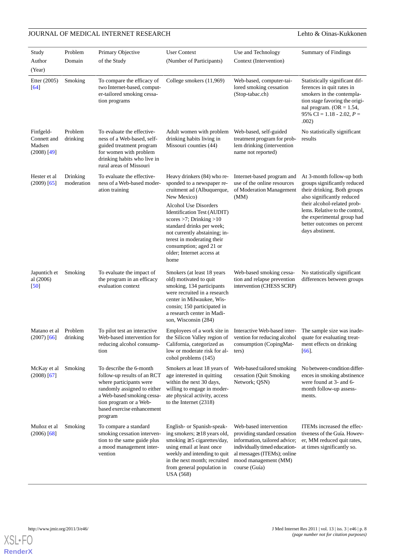| Study                                               | Problem                | Primary Objective                                                                                                                                                                                                 | <b>User Context</b>                                                                                                                                                                                                                         | Use and Technology                                                                                                                                                                               | <b>Summary of Findings</b>                                                                                                                                                                                                                                             |
|-----------------------------------------------------|------------------------|-------------------------------------------------------------------------------------------------------------------------------------------------------------------------------------------------------------------|---------------------------------------------------------------------------------------------------------------------------------------------------------------------------------------------------------------------------------------------|--------------------------------------------------------------------------------------------------------------------------------------------------------------------------------------------------|------------------------------------------------------------------------------------------------------------------------------------------------------------------------------------------------------------------------------------------------------------------------|
| Author                                              | Domain                 | of the Study                                                                                                                                                                                                      | (Number of Participants)                                                                                                                                                                                                                    | Context (Intervention)                                                                                                                                                                           |                                                                                                                                                                                                                                                                        |
| (Year)<br>Etter (2005)<br>$[64]$                    | Smoking                | To compare the efficacy of<br>two Internet-based, comput-<br>er-tailored smoking cessa-<br>tion programs                                                                                                          | College smokers (11,969)                                                                                                                                                                                                                    | Web-based, computer-tai-<br>lored smoking cessation<br>(Stop-tabac.ch)                                                                                                                           | Statistically significant dif-<br>ferences in quit rates in<br>smokers in the contempla-<br>tion stage favoring the origi-<br>nal program. (OR = $1.54$ ,<br>95% CI = $1.18 - 2.02$ , $P =$<br>.002)                                                                   |
| Finfgeld-<br>Connett and<br>Madsen<br>$(2008)$ [49] | Problem<br>drinking    | To evaluate the effective-<br>ness of a Web-based, self-<br>guided treatment program<br>for women with problem<br>drinking habits who live in<br>rural areas of Missouri                                          | Adult women with problem<br>drinking habits living in<br>Missouri counties (44)                                                                                                                                                             | Web-based, self-guided<br>treatment program for prob-<br>lem drinking (intervention<br>name not reported)                                                                                        | No statistically significant<br>results                                                                                                                                                                                                                                |
| Hester et al<br>$(2009)$ [65]                       | Drinking<br>moderation | To evaluate the effective-<br>ness of a Web-based moder-<br>ation training                                                                                                                                        | Heavy drinkers (84) who re-<br>sponded to a newspaper re-<br>cruitment ad (Albuquerque,<br>New Mexico)<br>Alcohol Use Disorders<br>Identification Test (AUDIT)<br>scores $>7$ ; Drinking $>10$                                              | Internet-based program and<br>use of the online resources<br>of Moderation Management<br>(MM)                                                                                                    | At 3-month follow-up both<br>groups significantly reduced<br>their drinking. Both groups<br>also significantly reduced<br>their alcohol-related prob-<br>lems. Relative to the control,<br>the experimental group had<br>better outcomes on percent<br>days abstinent. |
|                                                     |                        |                                                                                                                                                                                                                   | standard drinks per week;<br>not currently abstaining; in-<br>terest in moderating their<br>consumption; aged 21 or<br>older; Internet access at<br>home                                                                                    |                                                                                                                                                                                                  |                                                                                                                                                                                                                                                                        |
| Japuntich et<br>al (2006)<br>[50]                   | Smoking                | To evaluate the impact of<br>the program in an efficacy<br>evaluation context                                                                                                                                     | Smokers (at least 18 years<br>old) motivated to quit<br>smoking, 134 participants<br>were recruited in a research<br>center in Milwaukee, Wis-<br>consin; 150 participated in<br>a research center in Madi-<br>son, Wisconsin (284)         | Web-based smoking cessa-<br>tion and relapse prevention<br>intervention (CHESS SCRP)                                                                                                             | No statistically significant<br>differences between groups                                                                                                                                                                                                             |
| Matano et al<br>$(2007)$ [66]                       | Problem<br>drinking    | To pilot test an interactive<br>Web-based intervention for<br>reducing alcohol consump-<br>tion                                                                                                                   | the Silicon Valley region of<br>California, categorized as<br>low or moderate risk for al-<br>cohol problems (145)                                                                                                                          | Employees of a work site in Interactive Web-based inter-<br>vention for reducing alcohol<br>consumption (CopingMat-<br>ters)                                                                     | The sample size was inade-<br>quate for evaluating treat-<br>ment effects on drinking<br>[66]                                                                                                                                                                          |
| McKay et al<br>$(2008)$ [67]                        | Smoking                | To describe the 6-month<br>follow-up results of an RCT<br>where participants were<br>randomly assigned to either<br>a Web-based smoking cessa-<br>tion program or a Web-<br>based exercise enhancement<br>program | Smokers at least 18 years of<br>age interested in quitting<br>within the next 30 days,<br>willing to engage in moder-<br>ate physical activity, access<br>to the Internet $(2318)$                                                          | Web-based tailored smoking<br>cessation (Quit Smoking<br>Network; QSN)                                                                                                                           | No between-condition differ-<br>ences in smoking abstinence<br>were found at 3- and 6-<br>month follow-up assess-<br>ments.                                                                                                                                            |
| Muñoz et al<br>$(2006)$ [68]                        | Smoking                | To compare a standard<br>smoking cessation interven-<br>tion to the same guide plus<br>a mood management inter-<br>vention                                                                                        | English- or Spanish-speak-<br>ing smokers; $\geq 18$ years old,<br>smoking $\geq$ 5 cigarettes/day,<br>using email at least once<br>weekly and intending to quit<br>in the next month; recruited<br>from general population in<br>USA (568) | Web-based intervention<br>providing standard cessation<br>information, tailored advice;<br>individually timed education-<br>al messages (ITEMs); online<br>mood management (MM)<br>course (Guía) | ITEMs increased the effec-<br>tiveness of the Guía. Howev-<br>er, MM reduced quit rates,<br>at times significantly so.                                                                                                                                                 |

**[RenderX](http://www.renderx.com/)**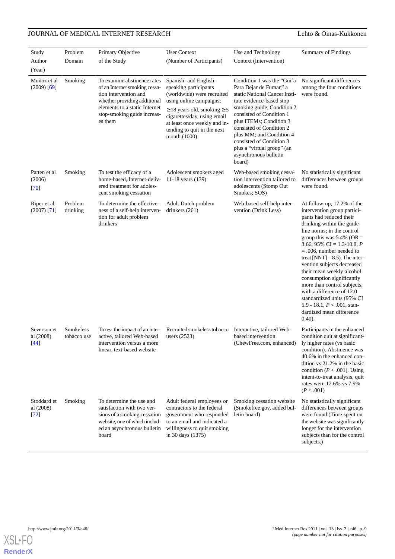| Study                              | Problem                  | Primary Objective                                                                                                                                                                                | <b>User Context</b>                                                                                                                                                                                                                                            | Use and Technology                                                                                                                                                                                                                                                                                                                                           | <b>Summary of Findings</b>                                                                                                                                                                                                                                                                                                                                                                                                                                                                                                                       |
|------------------------------------|--------------------------|--------------------------------------------------------------------------------------------------------------------------------------------------------------------------------------------------|----------------------------------------------------------------------------------------------------------------------------------------------------------------------------------------------------------------------------------------------------------------|--------------------------------------------------------------------------------------------------------------------------------------------------------------------------------------------------------------------------------------------------------------------------------------------------------------------------------------------------------------|--------------------------------------------------------------------------------------------------------------------------------------------------------------------------------------------------------------------------------------------------------------------------------------------------------------------------------------------------------------------------------------------------------------------------------------------------------------------------------------------------------------------------------------------------|
| Author                             | Domain                   | of the Study                                                                                                                                                                                     | (Number of Participants)                                                                                                                                                                                                                                       | Context (Intervention)                                                                                                                                                                                                                                                                                                                                       |                                                                                                                                                                                                                                                                                                                                                                                                                                                                                                                                                  |
| (Year)                             |                          |                                                                                                                                                                                                  |                                                                                                                                                                                                                                                                |                                                                                                                                                                                                                                                                                                                                                              |                                                                                                                                                                                                                                                                                                                                                                                                                                                                                                                                                  |
| Muñoz et al<br>$(2009)$ [69]       | Smoking                  | To examine abstinence rates<br>of an Internet smoking cessa-<br>tion intervention and<br>whether providing additional<br>elements to a static Internet<br>stop-smoking guide increas-<br>es them | Spanish- and English-<br>speaking participants<br>(worldwide) were recruited<br>using online campaigns;<br>$\geq$ 18 years old, smoking $\geq$ 5<br>cigarettes/day, using email<br>at least once weekly and in-<br>tending to quit in the next<br>month (1000) | Condition 1 was the "Gui'a<br>Para Dejar de Fumar," a<br>static National Cancer Insti-<br>tute evidence-based stop<br>smoking guide; Condition 2<br>consisted of Condition 1<br>plus ITEMs; Condition 3<br>consisted of Condition 2<br>plus MM; and Condition 4<br>consisted of Condition 3<br>plus a "virtual group" (an<br>asynchronous bulletin<br>board) | No significant differences<br>among the four conditions<br>were found.                                                                                                                                                                                                                                                                                                                                                                                                                                                                           |
| Patten et al<br>(2006)<br>[70]     | Smoking                  | To test the efficacy of a<br>home-based. Internet-deliv-<br>ered treatment for adoles-<br>cent smoking cessation                                                                                 | Adolescent smokers aged<br>11-18 years (139)                                                                                                                                                                                                                   | Web-based smoking cessa-<br>tion intervention tailored to<br>adolescents (Stomp Out<br>Smokes; SOS)                                                                                                                                                                                                                                                          | No statistically significant<br>differences between groups<br>were found.                                                                                                                                                                                                                                                                                                                                                                                                                                                                        |
| Riper et al<br>$(2007)$ [71]       | Problem<br>drinking      | To determine the effective-<br>ness of a self-help interven-<br>tion for adult problem<br>drinkers                                                                                               | Adult Dutch problem<br>drinkers $(261)$                                                                                                                                                                                                                        | Web-based self-help inter-<br>vention (Drink Less)                                                                                                                                                                                                                                                                                                           | At follow-up, 17.2% of the<br>intervention group partici-<br>pants had reduced their<br>drinking within the guide-<br>line norms; in the control<br>group this was $5.4\%$ (OR =<br>3.66, 95% CI = 1.3-10.8, P<br>$= .006$ , number needed to<br>treat [NNT] = $8.5$ ). The inter-<br>vention subjects decreased<br>their mean weekly alcohol<br>consumption significantly<br>more than control subjects,<br>with a difference of 12.0<br>standardized units (95% CI<br>5.9 - 18.1, $P < .001$ , stan-<br>dardized mean difference<br>$(0.40)$ . |
| Severson et<br>al (2008)<br>$[44]$ | Smokeless<br>tobacco use | To test the impact of an inter-<br>active, tailored Web-based<br>intervention versus a more<br>linear, text-based website                                                                        | Recruited smokeless tobacco<br>users (2523)                                                                                                                                                                                                                    | Interactive, tailored Web-<br>based intervention<br>(ChewFree.com, enhanced)                                                                                                                                                                                                                                                                                 | Participants in the enhanced<br>condition quit at significant-<br>ly higher rates (vs basic<br>condition). Abstinence was<br>40.6% in the enhanced con-<br>dition vs 21.2% in the basic<br>condition ( $P < .001$ ). Using<br>intent-to-treat analysis, quit<br>rates were 12.6% vs 7.9%<br>(P < .001)                                                                                                                                                                                                                                           |
| Stoddard et<br>al (2008)<br>[72]   | Smoking                  | To determine the use and<br>satisfaction with two ver-<br>sions of a smoking cessation<br>website, one of which includ-<br>ed an asynchronous bulletin<br>board                                  | Adult federal employees or<br>contractors to the federal<br>government who responded<br>to an email and indicated a<br>willingness to quit smoking<br>in 30 days (1375)                                                                                        | Smoking cessation website<br>(Smokefree.gov, added bul-<br>letin board)                                                                                                                                                                                                                                                                                      | No statistically significant<br>differences between groups<br>were found.(Time spent on<br>the website was significantly<br>longer for the intervention<br>subjects than for the control<br>subjects.)                                                                                                                                                                                                                                                                                                                                           |

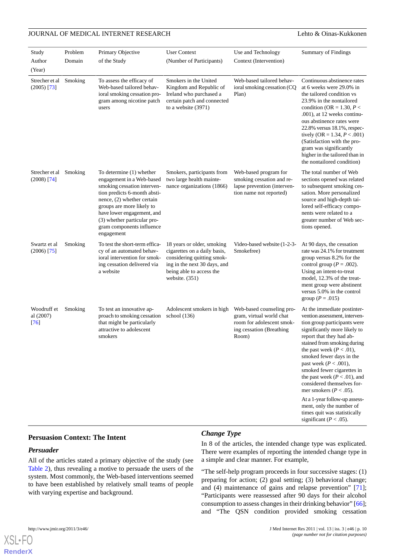| Study                            | Problem | Primary Objective                                                                                                                                                                                                                                                                       | <b>User Context</b>                                                                                                                                                      | Use and Technology                                                                                                      | <b>Summary of Findings</b>                                                                                                                                                                                                                                                                                                                                                                                                                                                                                                                |
|----------------------------------|---------|-----------------------------------------------------------------------------------------------------------------------------------------------------------------------------------------------------------------------------------------------------------------------------------------|--------------------------------------------------------------------------------------------------------------------------------------------------------------------------|-------------------------------------------------------------------------------------------------------------------------|-------------------------------------------------------------------------------------------------------------------------------------------------------------------------------------------------------------------------------------------------------------------------------------------------------------------------------------------------------------------------------------------------------------------------------------------------------------------------------------------------------------------------------------------|
| Author                           | Domain  | of the Study                                                                                                                                                                                                                                                                            | (Number of Participants)                                                                                                                                                 | Context (Intervention)                                                                                                  |                                                                                                                                                                                                                                                                                                                                                                                                                                                                                                                                           |
| (Year)                           |         |                                                                                                                                                                                                                                                                                         |                                                                                                                                                                          |                                                                                                                         |                                                                                                                                                                                                                                                                                                                                                                                                                                                                                                                                           |
| Strecher et al<br>$(2005)$ [73]  | Smoking | To assess the efficacy of<br>Web-based tailored behav-<br>ioral smoking cessation pro-<br>gram among nicotine patch<br>users                                                                                                                                                            | Smokers in the United<br>Kingdom and Republic of<br>Ireland who purchased a<br>certain patch and connected<br>to a website (3971)                                        | Web-based tailored behav-<br>ioral smoking cessation (CQ<br>Plan)                                                       | Continuous abstinence rates<br>at 6 weeks were 29.0% in<br>the tailored condition vs<br>23.9% in the nontailored<br>condition (OR = 1.30, $P$ <<br>.001), at 12 weeks continu-<br>ous abstinence rates were<br>22.8% versus 18.1%, respec-<br>tively (OR = 1.34, $P < .001$ )<br>(Satisfaction with the pro-<br>gram was significantly<br>higher in the tailored than in<br>the nontailored condition)                                                                                                                                    |
| Strecher et al<br>$(2008)$ [74]  | Smoking | To determine (1) whether<br>engagement in a Web-based<br>smoking cessation interven-<br>tion predicts 6-month absti-<br>nence, (2) whether certain<br>groups are more likely to<br>have lower engagement, and<br>(3) whether particular pro-<br>gram components influence<br>engagement | Smokers, participants from<br>two large health mainte-<br>nance organizations (1866)                                                                                     | Web-based program for<br>smoking cessation and re-<br>lapse prevention (interven-<br>tion name not reported)            | The total number of Web<br>sections opened was related<br>to subsequent smoking ces-<br>sation. More personalized<br>source and high-depth tai-<br>lored self-efficacy compo-<br>nents were related to a<br>greater number of Web sec-<br>tions opened.                                                                                                                                                                                                                                                                                   |
| Swartz et al<br>$(2006)$ [75]    | Smoking | To test the short-term effica-<br>cy of an automated behav-<br>ioral intervention for smok-<br>ing cessation delivered via<br>a website                                                                                                                                                 | 18 years or older, smoking<br>cigarettes on a daily basis,<br>considering quitting smok-<br>ing in the next 30 days, and<br>being able to access the<br>website. $(351)$ | Video-based website (1-2-3-<br>Smokefree)                                                                               | At 90 days, the cessation<br>rate was 24.1% for treatment<br>group versus 8.2% for the<br>control group ( $P = .002$ ).<br>Using an intent-to-treat<br>model, 12.3% of the treat-<br>ment group were abstinent<br>versus 5.0% in the control<br>group ( $P = .015$ )                                                                                                                                                                                                                                                                      |
| Woodruff et<br>al (2007)<br>[76] | Smoking | To test an innovative ap-<br>proach to smoking cessation<br>that might be particularly<br>attractive to adolescent<br>smokers                                                                                                                                                           | Adolescent smokers in high<br>school $(136)$                                                                                                                             | Web-based counseling pro-<br>gram, virtual world chat<br>room for adolescent smok-<br>ing cessation (Breathing<br>Room) | At the immediate postinter-<br>vention assessment, interven-<br>tion group participants were<br>significantly more likely to<br>report that they had ab-<br>stained from smoking during<br>the past week ( $P < .01$ ),<br>smoked fewer days in the<br>past week ( $P < .001$ ),<br>smoked fewer cigarettes in<br>the past week ( $P < .01$ ), and<br>considered themselves for-<br>mer smokers ( $P < .05$ ).<br>At a 1-year follow-up assess-<br>ment, only the number of<br>times quit was statistically<br>significant ( $P < .05$ ). |

### **Persuasion Context: The Intent**

### *Persuader*

All of the articles stated a primary objective of the study (see [Table 2\)](#page-13-0), thus revealing a motive to persuade the users of the system. Most commonly, the Web-based interventions seemed to have been established by relatively small teams of people with varying expertise and background.

### *Change Type*

In 8 of the articles, the intended change type was explicated. There were examples of reporting the intended change type in a simple and clear manner. For example,

"The self-help program proceeds in four successive stages: (1) preparing for action; (2) goal setting; (3) behavioral change; and (4) maintenance of gains and relapse prevention" [[71\]](#page-18-12); "Participants were reassessed after 90 days for their alcohol consumption to assess changes in their drinking behavior" [[66\]](#page-18-7); and "The QSN condition provided smoking cessation

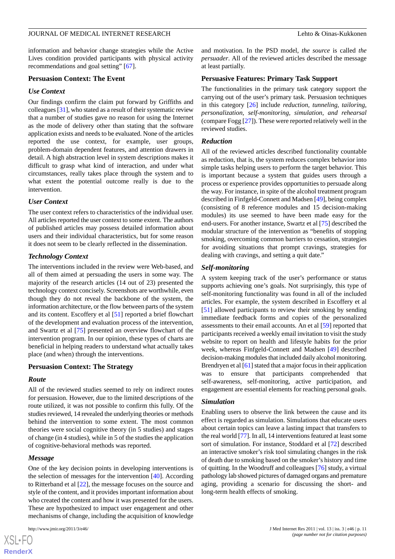information and behavior change strategies while the Active Lives condition provided participants with physical activity recommendations and goal setting" [[67\]](#page-18-8).

#### **Persuasion Context: The Event**

#### *Use Context*

Our findings confirm the claim put forward by Griffiths and colleagues [\[31](#page-16-14)], who stated as a result of their systematic review that a number of studies gave no reason for using the Internet as the mode of delivery other than stating that the software application exists and needs to be evaluated. None of the articles reported the use context, for example, user groups, problem-domain dependent features, and attention drawers in detail. A high abstraction level in system descriptions makes it difficult to grasp what kind of interaction, and under what circumstances, really takes place through the system and to what extent the potential outcome really is due to the intervention.

#### *User Context*

The user context refers to characteristics of the individual user. All articles reported the user context to some extent. The authors of published articles may possess detailed information about users and their individual characteristics, but for some reason it does not seem to be clearly reflected in the dissemination.

#### *Technology Context*

The interventions included in the review were Web-based, and all of them aimed at persuading the users in some way. The majority of the research articles (14 out of 23) presented the technology context concisely. Screenshots are worthwhile, even though they do not reveal the backbone of the system, the information architecture, or the flow between parts of the system and its content. Escoffery et al [\[51](#page-17-17)] reported a brief flowchart of the development and evaluation process of the intervention, and Swartz et al [[75\]](#page-18-16) presented an overview flowchart of the intervention program. In our opinion, these types of charts are beneficial in helping readers to understand what actually takes place (and when) through the interventions.

#### **Persuasion Context: The Strategy**

#### *Route*

All of the reviewed studies seemed to rely on indirect routes for persuasion. However, due to the limited descriptions of the route utilized, it was not possible to confirm this fully. Of the studies reviewed, 14 revealed the underlying theories or methods behind the intervention to some extent. The most common theories were social cognitive theory (in 5 studies) and stages of change (in 4 studies), while in 5 of the studies the application of cognitive-behavioral methods was reported.

#### *Message*

[XSL](http://www.w3.org/Style/XSL)•FO **[RenderX](http://www.renderx.com/)**

One of the key decision points in developing interventions is the selection of messages for the intervention [[40\]](#page-17-7). According to Ritterband et al [[22\]](#page-16-20), the message focuses on the source and style of the content, and it provides important information about who created the content and how it was presented for the users. These are hypothesized to impact user engagement and other mechanisms of change, including the acquisition of knowledge

and motivation. In the PSD model, *the source* is called *the persuader*. All of the reviewed articles described the message at least partially.

#### **Persuasive Features: Primary Task Support**

The functionalities in the primary task category support the carrying out of the user's primary task. Persuasion techniques in this category [[26\]](#page-16-9) include *reduction, tunneling, tailoring, personalization, self-monitoring, simulation, and rehearsal* (compare Fogg [[27\]](#page-16-10)). These were reported relatively well in the reviewed studies.

#### *Reduction*

All of the reviewed articles described functionality countable as reduction, that is, the system reduces complex behavior into simple tasks helping users to perform the target behavior. This is important because a system that guides users through a process or experience provides opportunities to persuade along the way. For instance, in spite of the alcohol treatment program described in Finfgeld-Connett and Madsen [[49\]](#page-17-16), being complex (consisting of 8 reference modules and 15 decision-making modules) its use seemed to have been made easy for the end-users. For another instance, Swartz et al [\[75](#page-18-16)] described the modular structure of the intervention as "benefits of stopping smoking, overcoming common barriers to cessation, strategies for avoiding situations that prompt cravings, strategies for dealing with cravings, and setting a quit date."

#### *Self-monitoring*

A system keeping track of the user's performance or status supports achieving one's goals. Not surprisingly, this type of self-monitoring functionality was found in all of the included articles. For example, the system described in Escoffery et al [[51\]](#page-17-17) allowed participants to review their smoking by sending immediate feedback forms and copies of the personalized assessments to their email accounts. An et al [\[59](#page-18-0)] reported that participants received a weekly email invitation to visit the study website to report on health and lifestyle habits for the prior week, whereas Finfgeld-Connett and Madsen [\[49](#page-17-16)] described decision-making modules that included daily alcohol monitoring. Brendryen et al [\[61](#page-18-2)] stated that a major focus in their application was to ensure that participants comprehended that self-awareness, self-monitoring, active participation, and engagement are essential elements for reaching personal goals.

#### *Simulation*

Enabling users to observe the link between the cause and its effect is regarded as simulation. Simulations that educate users about certain topics can leave a lasting impact that transfers to the real world [\[77](#page-18-18)]. In all, 14 interventions featured at least some sort of simulation. For instance, Stoddard et al [\[72](#page-18-13)] described an interactive smoker's risk tool simulating changes in the risk of death due to smoking based on the smoker's history and time of quitting. In the Woodruff and colleagues [\[76](#page-18-17)] study, a virtual pathology lab showed pictures of damaged organs and premature aging, providing a scenario for discussing the short- and long-term health effects of smoking.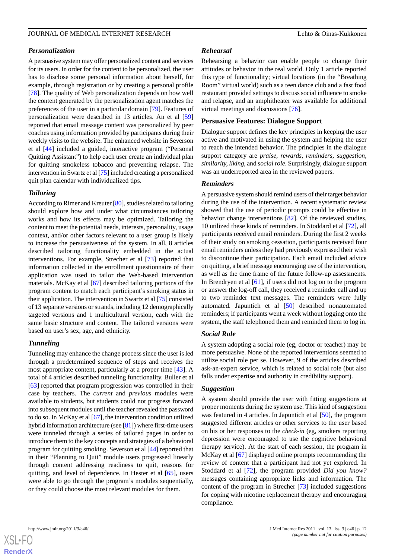#### *Personalization*

A persuasive system may offer personalized content and services for its users. In order for the content to be personalized, the user has to disclose some personal information about herself, for example, through registration or by creating a personal profile [[78\]](#page-18-19). The quality of Web personalization depends on how well the content generated by the personalization agent matches the preferences of the user in a particular domain [[79\]](#page-18-20). Features of personalization were described in 13 articles. An et al [\[59](#page-18-0)] reported that email message content was personalized by peer coaches using information provided by participants during their weekly visits to the website. The enhanced website in Severson et al [\[44](#page-17-11)] included a guided, interactive program ("Personal Quitting Assistant") to help each user create an individual plan for quitting smokeless tobacco and preventing relapse. The intervention in Swartz et al [[75](#page-18-16)] included creating a personalized quit plan calendar with individualized tips.

#### *Tailoring*

According to Rimer and Kreuter [[80](#page-18-21)], studies related to tailoring should explore how and under what circumstances tailoring works and how its effects may be optimized. Tailoring the content to meet the potential needs, interests, personality, usage context, and/or other factors relevant to a user group is likely to increase the persuasiveness of the system. In all, 8 articles described tailoring functionality embedded in the actual interventions. For example, Strecher et al [\[73](#page-18-14)] reported that information collected in the enrollment questionnaire of their application was used to tailor the Web-based intervention materials. McKay et al [[67\]](#page-18-8) described tailoring portions of the program content to match each participant's smoking status in their application. The intervention in Swartz et al [\[75](#page-18-16)] consisted of 13 separate versions or strands, including 12 demographically targeted versions and 1 multicultural version, each with the same basic structure and content. The tailored versions were based on user's sex, age, and ethnicity.

#### *Tunneling*

Tunneling may enhance the change process since the user is led through a predetermined sequence of steps and receives the most appropriate content, particularly at a proper time [[43\]](#page-17-10). A total of 4 articles described tunneling functionality. Buller et al [[63\]](#page-18-4) reported that program progression was controlled in their case by teachers. The *current* and *previous* modules were available to students, but students could not progress forward into subsequent modules until the teacher revealed the password to do so. In McKay et al [\[67\]](#page-18-8), the intervention condition utilized hybrid information architecture (see [\[81](#page-18-22)]) where first-time users were tunneled through a series of tailored pages in order to introduce them to the key concepts and strategies of a behavioral program for quitting smoking. Severson et al [[44\]](#page-17-11) reported that in their "Planning to Quit" module users progressed linearly through content addressing readiness to quit, reasons for quitting, and level of dependence. In Hester et al [[65\]](#page-18-6), users were able to go through the program's modules sequentially, or they could choose the most relevant modules for them.

#### *Rehearsal*

Rehearsing a behavior can enable people to change their attitudes or behavior in the real world. Only 1 article reported this type of functionality; virtual locations (in the "Breathing Room" virtual world) such as a teen dance club and a fast food restaurant provided settings to discuss social influence to smoke and relapse, and an amphitheater was available for additional virtual meetings and discussions [\[76](#page-18-17)].

#### **Persuasive Features: Dialogue Support**

Dialogue support defines the key principles in keeping the user active and motivated in using the system and helping the user to reach the intended behavior. The principles in the dialogue support category are *praise, rewards, reminders, suggestion, similarity, liking,* and *social role*. Surprisingly, dialogue support was an underreported area in the reviewed papers.

#### *Reminders*

A persuasive system should remind users of their target behavior during the use of the intervention. A recent systematic review showed that the use of periodic prompts could be effective in behavior change interventions [\[82](#page-18-23)]. Of the reviewed studies, 10 utilized these kinds of reminders. In Stoddard et al [\[72](#page-18-13)], all participants received email reminders. During the first 2 weeks of their study on smoking cessation, participants received four email reminders unless they had previously expressed their wish to discontinue their participation. Each email included advice on quitting, a brief message encouraging use of the intervention, as well as the time frame of the future follow-up assessments. In Brendryen et al [\[61](#page-18-2)], if users did not log on to the program or answer the log-off call, they received a reminder call and up to two reminder text messages. The reminders were fully automated. Japuntich et al [[50\]](#page-17-25) described nonautomated reminders; if participants went a week without logging onto the system, the staff telephoned them and reminded them to log in.

#### *Social Role*

A system adopting a social role (eg, doctor or teacher) may be more persuasive. None of the reported interventions seemed to utilize social role per se. However, 9 of the articles described ask-an-expert service, which is related to social role (but also falls under expertise and authority in credibility support).

#### *Suggestion*

A system should provide the user with fitting suggestions at proper moments during the system use. This kind of suggestion was featured in 4 articles. In Japuntich et al [\[50](#page-17-25)], the program suggested different articles or other services to the user based on his or her responses to the *check-in* (eg, smokers reporting depression were encouraged to use the cognitive behavioral therapy service). At the start of each session, the program in McKay et al [[67\]](#page-18-8) displayed online prompts recommending the review of content that a participant had not yet explored. In Stoddard et al [[72\]](#page-18-13), the program provided *Did you know?* messages containing appropriate links and information. The content of the program in Strecher [[73\]](#page-18-14) included suggestions for coping with nicotine replacement therapy and encouraging compliance.

**[RenderX](http://www.renderx.com/)**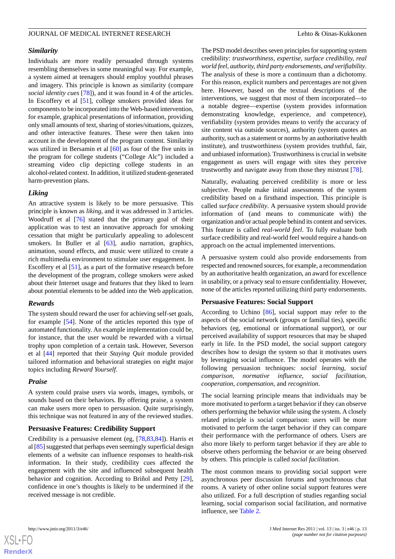#### *Similarity*

Individuals are more readily persuaded through systems resembling themselves in some meaningful way. For example, a system aimed at teenagers should employ youthful phrases and imagery. This principle is known as similarity (compare *social identity cues* [\[78](#page-18-19)]), and it was found in 4 of the articles. In Escoffery et al [[51\]](#page-17-17), college smokers provided ideas for components to be incorporated into the Web-based intervention, for example, graphical presentations of information, providing only small amounts of text, sharing of stories/situations, quizzes, and other interactive features. These were then taken into account in the development of the program content. Similarity was utilized in Bersamin et al [[60\]](#page-18-1) as four of the five units in the program for college students ("College Alc") included a streaming video clip depicting college students in an alcohol-related context. In addition, it utilized student-generated harm-prevention plans.

#### *Liking*

An attractive system is likely to be more persuasive. This principle is known as *liking,* and it was addressed in 3 articles. Woodruff et al [[76\]](#page-18-17) stated that the primary goal of their application was to test an innovative approach for smoking cessation that might be particularly appealing to adolescent smokers. In Buller et al [\[63](#page-18-4)], audio narration, graphics, animation, sound effects, and music were utilized to create a rich multimedia environment to stimulate user engagement. In Escoffery et al [\[51](#page-17-17)], as a part of the formative research before the development of the program, college smokers were asked about their Internet usage and features that they liked to learn about potential elements to be added into the Web application.

#### *Rewards*

The system should reward the user for achieving self-set goals, for example [\[54](#page-17-20)]. None of the articles reported this type of automated functionality. An example implementation could be, for instance, that the user would be rewarded with a virtual trophy upon completion of a certain task. However, Severson et al [[44\]](#page-17-11) reported that their *Staying Quit* module provided tailored information and behavioral strategies on eight major topics including *Reward Yourself*.

#### *Praise*

A system could praise users via words, images, symbols, or sounds based on their behaviors. By offering praise, a system can make users more open to persuasion. Quite surprisingly, this technique was not featured in any of the reviewed studies.

#### **Persuasive Features: Credibility Support**

Credibility is a persuasive element (eg, [[78,](#page-18-19)[83](#page-19-0),[84\]](#page-19-1)). Harris et al [[85\]](#page-19-2) suggested that perhaps even seemingly superficial design elements of a website can influence responses to health-risk information. In their study, credibility cues affected the engagement with the site and influenced subsequent health behavior and cognition. According to Briñol and Petty [[29\]](#page-16-12), confidence in one's thoughts is likely to be undermined if the received message is not credible.

The PSD model describes seven principles for supporting system credibility: *trustworthiness, expertise, surface credibility, real world feel, authority, third party endorsements, and verifiability*. The analysis of these is more a continuum than a dichotomy. For this reason, explicit numbers and percentages are not given here. However, based on the textual descriptions of the interventions, we suggest that most of them incorporated—to a notable degree—expertise (system provides information demonstrating knowledge, experience, and competence), verifiability (system provides means to verify the accuracy of site content via outside sources), authority (system quotes an authority, such as a statement or norms by an authoritative health institute), and trustworthiness (system provides truthful, fair, and unbiased information). Trustworthiness is crucial in website engagement as users will engage with sites they perceive trustworthy and navigate away from those they mistrust [[78\]](#page-18-19).

Naturally, evaluating perceived credibility is more or less subjective. People make initial assessments of the system credibility based on a firsthand inspection. This principle is called *surface credibility*. A persuasive system should provide information of (and means to communicate with) the organization and/or actual people behind its content and services. This feature is called *real-world feel*. To fully evaluate both surface credibility and real-world feel would require a hands-on approach on the actual implemented interventions.

A persuasive system could also provide endorsements from respected and renowned sources, for example, a recommendation by an authoritative health organization, an award for excellence in usability, or a privacy seal to ensure confidentiality. However, none of the articles reported utilizing third party endorsements.

### **Persuasive Features: Social Support**

According to Uchino [\[86](#page-19-3)], social support may refer to the aspects of the social network (groups or familial ties), specific behaviors (eg, emotional or informational support), or our perceived availability of support resources that may be shaped early in life. In the PSD model, the social support category describes how to design the system so that it motivates users by leveraging social influence. The model operates with the following persuasion techniques: *social learning, social comparison, normative influence, social facilitation, cooperation, compensation,* and *recognition*.

The social learning principle means that individuals may be more motivated to perform a target behavior if they can observe others performing the behavior while using the system. A closely related principle is social comparison: users will be more motivated to perform the target behavior if they can compare their performance with the performance of others. Users are also more likely to perform target behavior if they are able to observe others performing the behavior or are being observed by others. This principle is called *social facilitation*.

The most common means to providing social support were asynchronous peer discussion forums and synchronous chat rooms. A variety of other online social support features were also utilized. For a full description of studies regarding social learning, social comparison social facilitation, and normative influence, see [Table 2.](#page-13-0)



**[RenderX](http://www.renderx.com/)**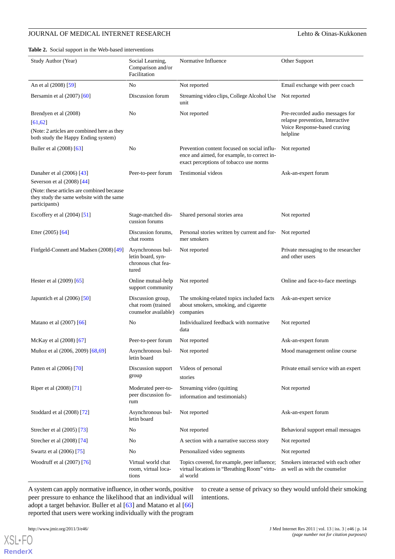<span id="page-13-0"></span>**Table 2.** Social support in the Web-based interventions

| Study Author (Year)                                                                                                     | Social Learning,<br>Comparison and/or<br>Facilitation                 | Normative Influence                                                                                                                  | Other Support                                                                                                  |
|-------------------------------------------------------------------------------------------------------------------------|-----------------------------------------------------------------------|--------------------------------------------------------------------------------------------------------------------------------------|----------------------------------------------------------------------------------------------------------------|
| An et al (2008) [59]                                                                                                    | No                                                                    | Not reported                                                                                                                         | Email exchange with peer coach                                                                                 |
| Bersamin et al $(2007)$ [60]                                                                                            | Discussion forum                                                      | Streaming video clips, College Alcohol Use<br>unit                                                                                   | Not reported                                                                                                   |
| Brendyen et al (2008)<br>[61, 62]<br>(Note: 2 articles are combined here as they<br>both study the Happy Ending system) | No                                                                    | Not reported                                                                                                                         | Pre-recorded audio messages for<br>relapse prevention, Interactive<br>Voice Response-based craving<br>helpline |
| Buller et al (2008) [63]                                                                                                | No                                                                    | Prevention content focused on social influ-<br>ence and aimed, for example, to correct in-<br>exact perceptions of tobacco use norms | Not reported                                                                                                   |
| Danaher et al (2006) [43]                                                                                               | Peer-to-peer forum                                                    | Testimonial videos                                                                                                                   | Ask-an-expert forum                                                                                            |
| Severson et al (2008) [44]                                                                                              |                                                                       |                                                                                                                                      |                                                                                                                |
| (Note: these articles are combined because<br>they study the same website with the same<br>participants)                |                                                                       |                                                                                                                                      |                                                                                                                |
| Escoffery et al $(2004)$ [51]                                                                                           | Stage-matched dis-<br>cussion forums                                  | Shared personal stories area                                                                                                         | Not reported                                                                                                   |
| Etter $(2005)$ [64]                                                                                                     | Discussion forums,<br>chat rooms                                      | Personal stories written by current and for-<br>mer smokers                                                                          | Not reported                                                                                                   |
| Finfgeld-Connett and Madsen (2008) [49]                                                                                 | Asynchronous bul-<br>letin board, syn-<br>chronous chat fea-<br>tured | Not reported                                                                                                                         | Private messaging to the researcher<br>and other users                                                         |
| Hester et al (2009) [65]                                                                                                | Online mutual-help<br>support community                               | Not reported                                                                                                                         | Online and face-to-face meetings                                                                               |
| Japuntich et al $(2006)$ [50]                                                                                           | Discussion group,<br>chat room (trained<br>counselor available)       | The smoking-related topics included facts<br>about smokers, smoking, and cigarette<br>companies                                      | Ask-an-expert service                                                                                          |
| Matano et al (2007) [66]                                                                                                | No                                                                    | Individualized feedback with normative<br>data                                                                                       | Not reported                                                                                                   |
| McKay et al (2008) [67]                                                                                                 | Peer-to-peer forum                                                    | Not reported                                                                                                                         | Ask-an-expert forum                                                                                            |
| Muñoz et al (2006, 2009) [68,69]                                                                                        | Asynchronous bul-<br>letin board                                      | Not reported                                                                                                                         | Mood management online course                                                                                  |
| Patten et al (2006) [70]                                                                                                | Discussion support<br>group                                           | Videos of personal<br>stories                                                                                                        | Private email service with an expert                                                                           |
| Riper et al (2008) [71]                                                                                                 | Moderated peer-to-<br>peer discussion fo-<br>rum                      | Streaming video (quitting<br>information and testimonials)                                                                           | Not reported                                                                                                   |
| Stoddard et al (2008) [72]                                                                                              | Asynchronous bul-<br>letin board                                      | Not reported                                                                                                                         | Ask-an-expert forum                                                                                            |
| Strecher et al (2005) [73]                                                                                              | No                                                                    | Not reported                                                                                                                         | Behavioral support email messages                                                                              |
| Strecher et al (2008) [74]                                                                                              | No                                                                    | A section with a narrative success story                                                                                             | Not reported                                                                                                   |
| Swartz et al (2006) [75]                                                                                                | No                                                                    | Personalized video segments                                                                                                          | Not reported                                                                                                   |
| Woodruff et al (2007) [76]                                                                                              | Virtual world chat<br>room, virtual loca-<br>tions                    | Topics covered, for example, peer influence;<br>virtual locations in "Breathing Room" virtu-<br>al world                             | Smokers interacted with each other<br>as well as with the counselor                                            |

A system can apply normative influence, in other words, positive peer pressure to enhance the likelihood that an individual will adopt a target behavior. Buller et al [\[63](#page-18-4)] and Matano et al [\[66](#page-18-7)] reported that users were working individually with the program

to create a sense of privacy so they would unfold their smoking intentions.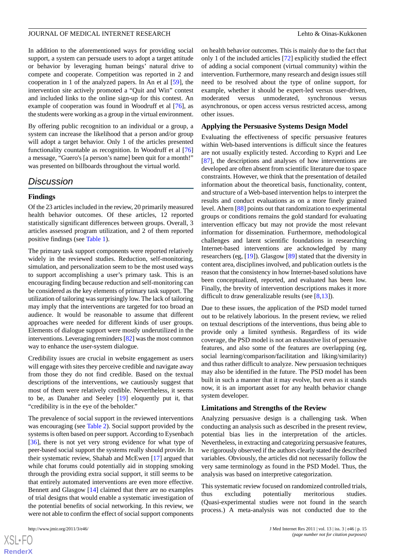In addition to the aforementioned ways for providing social support, a system can persuade users to adopt a target attitude or behavior by leveraging human beings' natural drive to compete and cooperate. Competition was reported in 2 and cooperation in 1 of the analyzed papers. In An et al [\[59](#page-18-0)], the intervention site actively promoted a "Quit and Win" contest and included links to the online sign-up for this contest. An example of cooperation was found in Woodruff et al [\[76](#page-18-17)], as the students were working as a group in the virtual environment.

By offering public recognition to an individual or a group, a system can increase the likelihood that a person and/or group will adopt a target behavior. Only 1 of the articles presented functionality countable as recognition. In Woodruff et al [\[76](#page-18-17)] a message, "Guero's [a person's name] been quit for a month!" was presented on billboards throughout the virtual world.

### *Discussion*

#### **Findings**

Of the 23 articles included in the review, 20 primarily measured health behavior outcomes. Of these articles, 12 reported statistically significant differences between groups. Overall, 3 articles assessed program utilization, and 2 of them reported positive findings (see [Table 1](#page-6-0)).

The primary task support components were reported relatively widely in the reviewed studies. Reduction, self-monitoring, simulation, and personalization seem to be the most used ways to support accomplishing a user's primary task. This is an encouraging finding because reduction and self-monitoring can be considered as the key elements of primary task support. The utilization of tailoring was surprisingly low. The lack of tailoring may imply that the interventions are targeted for too broad an audience. It would be reasonable to assume that different approaches were needed for different kinds of user groups. Elements of dialogue support were mostly underutilized in the interventions. Leveraging reminders [[82](#page-18-23)] was the most common way to enhance the user-system dialogue.

Credibility issues are crucial in website engagement as users will engage with sites they perceive credible and navigate away from those they do not find credible. Based on the textual descriptions of the interventions, we cautiously suggest that most of them were relatively credible. Nevertheless, it seems to be, as Danaher and Seeley [[19\]](#page-16-5) eloquently put it, that "credibility is in the eye of the beholder."

The prevalence of social support in the reviewed interventions was encouraging (see [Table 2\)](#page-13-0). Social support provided by the systems is often based on peer support. According to Eysenbach [[36\]](#page-17-3), there is not yet very strong evidence for what type of peer-based social support the systems really should provide. In their systematic review, Shahab and McEwen [[17\]](#page-16-17) argued that while chat forums could potentially aid in stopping smoking through the providing extra social support, it still seems to be that entirely automated interventions are even more effective. Bennett and Glasgow [\[14](#page-16-1)] claimed that there are no examples of trial designs that would enable a systematic investigation of the potential benefits of social networking. In this review, we were not able to confirm the effect of social support components

 $XS$  $\cdot$ FC **[RenderX](http://www.renderx.com/)** on health behavior outcomes. This is mainly due to the fact that

only 1 of the included articles [\[72](#page-18-13)] explicitly studied the effect of adding a social component (virtual community) within the intervention. Furthermore, many research and design issues still need to be resolved about the type of online support, for example, whether it should be expert-led versus user-driven, moderated versus unmoderated, synchronous versus asynchronous, or open access versus restricted access, among other issues.

#### **Applying the Persuasive Systems Design Model**

Evaluating the effectiveness of specific persuasive features within Web-based interventions is difficult since the features are not usually explicitly tested. According to Kypri and Lee [[87\]](#page-19-4), the descriptions and analyses of how interventions are developed are often absent from scientific literature due to space constraints. However, we think that the presentation of detailed information about the theoretical basis, functionality, content, and structure of a Web-based intervention helps to interpret the results and conduct evaluations as on a more finely grained level. Ahern [[88\]](#page-19-5) points out that randomization to experimental groups or conditions remains the gold standard for evaluating intervention efficacy but may not provide the most relevant information for dissemination. Furthermore, methodological challenges and latent scientific foundations in researching Internet-based interventions are acknowledged by many researchers (eg, [[19\]](#page-16-5)). Glasgow [\[89](#page-19-6)] stated that the diversity in content area, disciplines involved, and publication outlets is the reason that the consistency in how Internet-based solutions have been conceptualized, reported, and evaluated has been low. Finally, the brevity of intervention descriptions makes it more difficult to draw generalizable results (see  $[8,13]$  $[8,13]$  $[8,13]$  $[8,13]$ ).

Due to these issues, the application of the PSD model turned out to be relatively laborious. In the present review, we relied on textual descriptions of the interventions, thus being able to provide only a limited synthesis. Regardless of its wide coverage, the PSD model is not an exhaustive list of persuasive features, and also some of the features are overlapping (eg, social learning/comparison/facilitation and liking/similarity) and thus rather difficult to analyze. New persuasion techniques may also be identified in the future. The PSD model has been built in such a manner that it may evolve, but even as it stands now, it is an important asset for any health behavior change system developer.

#### **Limitations and Strengths of the Review**

Analyzing persuasive design is a challenging task. When conducting an analysis such as described in the present review, potential bias lies in the interpretation of the articles. Nevertheless, in extracting and categorizing persuasive features, we rigorously observed if the authors clearly stated the described variables. Obviously, the articles did not necessarily follow the very same terminology as found in the PSD Model. Thus, the analysis was based on interpretive categorization.

This systematic review focused on randomized controlled trials, thus excluding potentially meritorious studies. (Quasi-experimental studies were not found in the search process.) A meta-analysis was not conducted due to the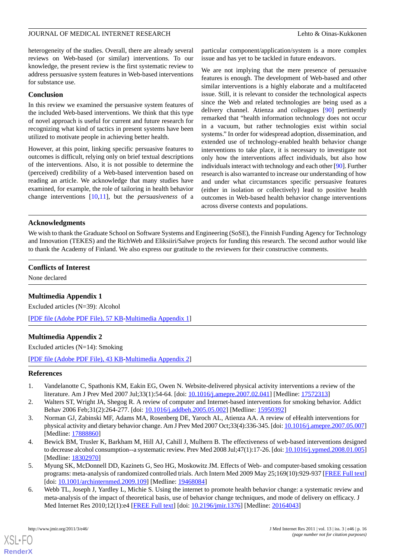heterogeneity of the studies. Overall, there are already several reviews on Web-based (or similar) interventions. To our knowledge, the present review is the first systematic review to address persuasive system features in Web-based interventions for substance use.

#### **Conclusion**

In this review we examined the persuasive system features of the included Web-based interventions. We think that this type of novel approach is useful for current and future research for recognizing what kind of tactics in present systems have been utilized to motivate people in achieving better health.

However, at this point, linking specific persuasive features to outcomes is difficult, relying only on brief textual descriptions of the interventions. Also, it is not possible to determine the (perceived) credibility of a Web-based intervention based on reading an article. We acknowledge that many studies have examined, for example, the role of tailoring in health behavior change interventions [[10,](#page-16-15)[11](#page-16-22)], but the *persuasiveness* of a

particular component/application/system is a more complex issue and has yet to be tackled in future endeavors.

We are not implying that the mere presence of persuasive features is enough. The development of Web-based and other similar interventions is a highly elaborate and a multifaceted issue. Still, it is relevant to consider the technological aspects since the Web and related technologies are being used as a delivery channel. Atienza and colleagues [\[90](#page-19-7)] pertinently remarked that "health information technology does not occur in a vacuum, but rather technologies exist within social systems." In order for widespread adoption, dissemination, and extended use of technology-enabled health behavior change interventions to take place, it is necessary to investigate not only how the interventions affect individuals, but also how individuals interact with technology and each other [\[90](#page-19-7)]. Further research is also warranted to increase our understanding of how and under what circumstances specific persuasive features (either in isolation or collectively) lead to positive health outcomes in Web-based health behavior change interventions across diverse contexts and populations.

#### **Acknowledgments**

We wish to thank the Graduate School on Software Systems and Engineering (SoSE), the Finnish Funding Agency for Technology and Innovation (TEKES) and the RichWeb and Eliksiiri/Salwe projects for funding this research. The second author would like to thank the Academy of Finland. We also express our gratitude to the reviewers for their constructive comments.

#### <span id="page-15-3"></span>**Conflicts of Interest**

None declared

#### **Multimedia Appendix 1**

<span id="page-15-4"></span>Excluded articles (N=39): Alcohol

[[PDF file \(Adobe PDF File\), 57 KB-Multimedia Appendix 1](https://jmir.org/api/download?alt_name=jmir_v13i3e46_app1.pdf&filename=245798cc67949f7a4d42c014b5c527e2.pdf)]

#### **Multimedia Appendix 2**

<span id="page-15-0"></span>Excluded articles (N=14): Smoking

[[PDF file \(Adobe PDF File\), 43 KB-Multimedia Appendix 2](https://jmir.org/api/download?alt_name=jmir_v13i3e46_app2.pdf&filename=cb23fcd9a7559a2a36a3f6102e8fcd3a.pdf)]

#### **References**

- 1. Vandelanotte C, Spathonis KM, Eakin EG, Owen N. Website-delivered physical activity interventions a review of the literature. Am J Prev Med 2007 Jul;33(1):54-64. [doi: [10.1016/j.amepre.2007.02.041](http://dx.doi.org/10.1016/j.amepre.2007.02.041)] [Medline: [17572313](http://www.ncbi.nlm.nih.gov/entrez/query.fcgi?cmd=Retrieve&db=PubMed&list_uids=17572313&dopt=Abstract)]
- <span id="page-15-1"></span>2. Walters ST, Wright JA, Shegog R. A review of computer and Internet-based interventions for smoking behavior. Addict Behav 2006 Feb;31(2):264-277. [doi: [10.1016/j.addbeh.2005.05.002\]](http://dx.doi.org/10.1016/j.addbeh.2005.05.002) [Medline: [15950392](http://www.ncbi.nlm.nih.gov/entrez/query.fcgi?cmd=Retrieve&db=PubMed&list_uids=15950392&dopt=Abstract)]
- <span id="page-15-2"></span>3. Norman GJ, Zabinski MF, Adams MA, Rosenberg DE, Yaroch AL, Atienza AA. A review of eHealth interventions for physical activity and dietary behavior change. Am J Prev Med 2007 Oct;33(4):336-345. [doi: [10.1016/j.amepre.2007.05.007](http://dx.doi.org/10.1016/j.amepre.2007.05.007)] [Medline: [17888860](http://www.ncbi.nlm.nih.gov/entrez/query.fcgi?cmd=Retrieve&db=PubMed&list_uids=17888860&dopt=Abstract)]
- 4. Bewick BM, Trusler K, Barkham M, Hill AJ, Cahill J, Mulhern B. The effectiveness of web-based interventions designed to decrease alcohol consumption--a systematic review. Prev Med 2008 Jul;47(1):17-26. [doi: [10.1016/j.ypmed.2008.01.005\]](http://dx.doi.org/10.1016/j.ypmed.2008.01.005) [Medline: [18302970](http://www.ncbi.nlm.nih.gov/entrez/query.fcgi?cmd=Retrieve&db=PubMed&list_uids=18302970&dopt=Abstract)]
- 5. Myung SK, McDonnell DD, Kazinets G, Seo HG, Moskowitz JM. Effects of Web- and computer-based smoking cessation programs: meta-analysis of randomized controlled trials. Arch Intern Med 2009 May 25;169(10):929-937 [[FREE Full text](http://archinte.ama-assn.org/cgi/pmidlookup?view=long&pmid=19468084)] [doi: [10.1001/archinternmed.2009.109\]](http://dx.doi.org/10.1001/archinternmed.2009.109) [Medline: [19468084\]](http://www.ncbi.nlm.nih.gov/entrez/query.fcgi?cmd=Retrieve&db=PubMed&list_uids=19468084&dopt=Abstract)
- 6. Webb TL, Joseph J, Yardley L, Michie S. Using the internet to promote health behavior change: a systematic review and meta-analysis of the impact of theoretical basis, use of behavior change techniques, and mode of delivery on efficacy. J Med Internet Res 2010;12(1):e4 [[FREE Full text](http://www.jmir.org/2010/1/e4/)] [doi: [10.2196/jmir.1376](http://dx.doi.org/10.2196/jmir.1376)] [Medline: [20164043](http://www.ncbi.nlm.nih.gov/entrez/query.fcgi?cmd=Retrieve&db=PubMed&list_uids=20164043&dopt=Abstract)]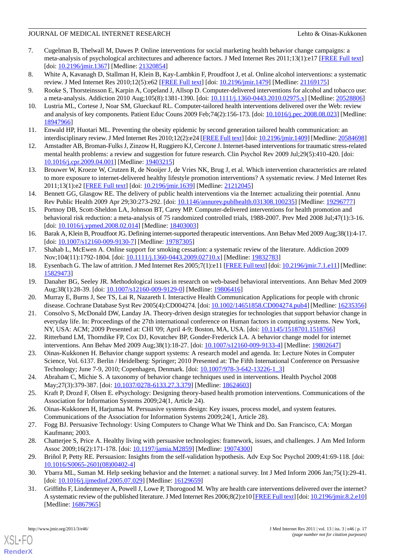- <span id="page-16-18"></span>7. Cugelman B, Thelwall M, Dawes P. Online interventions for social marketing health behavior change campaigns: a meta-analysis of psychological architectures and adherence factors. J Med Internet Res 2011;13(1):e17 [\[FREE Full text\]](http://www.jmir.org/2011/1/e17/) [doi: [10.2196/jmir.1367\]](http://dx.doi.org/10.2196/jmir.1367) [Medline: [21320854\]](http://www.ncbi.nlm.nih.gov/entrez/query.fcgi?cmd=Retrieve&db=PubMed&list_uids=21320854&dopt=Abstract)
- <span id="page-16-19"></span><span id="page-16-16"></span>8. White A, Kavanagh D, Stallman H, Klein B, Kay-Lambkin F, Proudfoot J, et al. Online alcohol interventions: a systematic review. J Med Internet Res 2010;12(5):e62 [\[FREE Full text\]](http://www.jmir.org/2010/5/e62/) [doi: [10.2196/jmir.1479\]](http://dx.doi.org/10.2196/jmir.1479) [Medline: [21169175\]](http://www.ncbi.nlm.nih.gov/entrez/query.fcgi?cmd=Retrieve&db=PubMed&list_uids=21169175&dopt=Abstract)
- <span id="page-16-15"></span>9. Rooke S, Thorsteinsson E, Karpin A, Copeland J, Allsop D. Computer-delivered interventions for alcohol and tobacco use: a meta-analysis. Addiction 2010 Aug;105(8):1381-1390. [doi: [10.1111/j.1360-0443.2010.02975.x](http://dx.doi.org/10.1111/j.1360-0443.2010.02975.x)] [Medline: [20528806\]](http://www.ncbi.nlm.nih.gov/entrez/query.fcgi?cmd=Retrieve&db=PubMed&list_uids=20528806&dopt=Abstract)
- <span id="page-16-22"></span>10. Lustria ML, Cortese J, Noar SM, Glueckauf RL. Computer-tailored health interventions delivered over the Web: review and analysis of key components. Patient Educ Couns 2009 Feb;74(2):156-173. [doi: [10.1016/j.pec.2008.08.023\]](http://dx.doi.org/10.1016/j.pec.2008.08.023) [Medline: [18947966](http://www.ncbi.nlm.nih.gov/entrez/query.fcgi?cmd=Retrieve&db=PubMed&list_uids=18947966&dopt=Abstract)]
- 11. Enwald HP, Huotari ML. Preventing the obesity epidemic by second generation tailored health communication: an interdisciplinary review. J Med Internet Res 2010;12(2):e24 [[FREE Full text](http://www.jmir.org/2010/2/e24/)] [doi: [10.2196/jmir.1409\]](http://dx.doi.org/10.2196/jmir.1409) [Medline: [20584698\]](http://www.ncbi.nlm.nih.gov/entrez/query.fcgi?cmd=Retrieve&db=PubMed&list_uids=20584698&dopt=Abstract)
- <span id="page-16-0"></span>12. Amstadter AB, Broman-Fulks J, Zinzow H, Ruggiero KJ, Cercone J. Internet-based interventions for traumatic stress-related mental health problems: a review and suggestion for future research. Clin Psychol Rev 2009 Jul;29(5):410-420. [doi: [10.1016/j.cpr.2009.04.001\]](http://dx.doi.org/10.1016/j.cpr.2009.04.001) [Medline: [19403215\]](http://www.ncbi.nlm.nih.gov/entrez/query.fcgi?cmd=Retrieve&db=PubMed&list_uids=19403215&dopt=Abstract)
- <span id="page-16-1"></span>13. Brouwer W, Kroeze W, Crutzen R, de Nooijer J, de Vries NK, Brug J, et al. Which intervention characteristics are related to more exposure to internet-delivered healthy lifestyle promotion interventions? A systematic review. J Med Internet Res 2011;13(1):e2 [\[FREE Full text](http://www.jmir.org/2011/1/e2/)] [doi: [10.2196/jmir.1639](http://dx.doi.org/10.2196/jmir.1639)] [Medline: [21212045](http://www.ncbi.nlm.nih.gov/entrez/query.fcgi?cmd=Retrieve&db=PubMed&list_uids=21212045&dopt=Abstract)]
- <span id="page-16-2"></span>14. Bennett GG, Glasgow RE. The delivery of public health interventions via the Internet: actualizing their potential. Annu Rev Public Health 2009 Apr 29;30:273-292. [doi: [10.1146/annurev.publhealth.031308.100235](http://dx.doi.org/10.1146/annurev.publhealth.031308.100235)] [Medline: [19296777](http://www.ncbi.nlm.nih.gov/entrez/query.fcgi?cmd=Retrieve&db=PubMed&list_uids=19296777&dopt=Abstract)]
- <span id="page-16-3"></span>15. Portnoy DB, Scott-Sheldon LA, Johnson BT, Carey MP. Computer-delivered interventions for health promotion and behavioral risk reduction: a meta-analysis of 75 randomized controlled trials, 1988-2007. Prev Med 2008 Jul;47(1):3-16. [doi: [10.1016/j.ypmed.2008.02.014](http://dx.doi.org/10.1016/j.ypmed.2008.02.014)] [Medline: [18403003\]](http://www.ncbi.nlm.nih.gov/entrez/query.fcgi?cmd=Retrieve&db=PubMed&list_uids=18403003&dopt=Abstract)
- <span id="page-16-17"></span><span id="page-16-4"></span>16. Barak A, Klein B, Proudfoot JG. Defining internet-supported therapeutic interventions. Ann Behav Med 2009 Aug;38(1):4-17. [doi: [10.1007/s12160-009-9130-7](http://dx.doi.org/10.1007/s12160-009-9130-7)] [Medline: [19787305\]](http://www.ncbi.nlm.nih.gov/entrez/query.fcgi?cmd=Retrieve&db=PubMed&list_uids=19787305&dopt=Abstract)
- <span id="page-16-5"></span>17. Shahab L, McEwen A. Online support for smoking cessation: a systematic review of the literature. Addiction 2009 Nov;104(11):1792-1804. [doi: [10.1111/j.1360-0443.2009.02710.x\]](http://dx.doi.org/10.1111/j.1360-0443.2009.02710.x) [Medline: [19832783\]](http://www.ncbi.nlm.nih.gov/entrez/query.fcgi?cmd=Retrieve&db=PubMed&list_uids=19832783&dopt=Abstract)
- <span id="page-16-6"></span>18. Eysenbach G. The law of attrition. J Med Internet Res 2005;7(1):e11 [\[FREE Full text](http://www.jmir.org/2005/1/e11/)] [doi: [10.2196/jmir.7.1.e11](http://dx.doi.org/10.2196/jmir.7.1.e11)] [Medline: [15829473](http://www.ncbi.nlm.nih.gov/entrez/query.fcgi?cmd=Retrieve&db=PubMed&list_uids=15829473&dopt=Abstract)]
- <span id="page-16-7"></span>19. Danaher BG, Seeley JR. Methodological issues in research on web-based behavioral interventions. Ann Behav Med 2009 Aug;38(1):28-39. [doi: [10.1007/s12160-009-9129-0\]](http://dx.doi.org/10.1007/s12160-009-9129-0) [Medline: [19806416\]](http://www.ncbi.nlm.nih.gov/entrez/query.fcgi?cmd=Retrieve&db=PubMed&list_uids=19806416&dopt=Abstract)
- <span id="page-16-20"></span>20. Murray E, Burns J, See TS, Lai R, Nazareth I. Interactive Health Communication Applications for people with chronic disease. Cochrane Database Syst Rev 2005(4):CD004274. [doi: [10.1002/14651858.CD004274.pub4\]](http://dx.doi.org/10.1002/14651858.CD004274.pub4) [Medline: [16235356](http://www.ncbi.nlm.nih.gov/entrez/query.fcgi?cmd=Retrieve&db=PubMed&list_uids=16235356&dopt=Abstract)]
- 21. Consolvo S, McDonald DW, Landay JA. Theory-driven design strategies for technologies that support behavior change in everyday life. In: Proceedings of the 27th international conference on Human factors in computing systems. New York, NY, USA: ACM; 2009 Presented at: CHI '09; April 4-9; Boston, MA, USA. [doi: [10.1145/1518701.1518766\]](http://dx.doi.org/10.1145/1518701.1518766)
- <span id="page-16-21"></span>22. Ritterband LM, Thorndike FP, Cox DJ, Kovatchev BP, Gonder-Frederick LA. A behavior change model for internet interventions. Ann Behav Med 2009 Aug;38(1):18-27. [doi: [10.1007/s12160-009-9133-4\]](http://dx.doi.org/10.1007/s12160-009-9133-4) [Medline: [19802647\]](http://www.ncbi.nlm.nih.gov/entrez/query.fcgi?cmd=Retrieve&db=PubMed&list_uids=19802647&dopt=Abstract)
- <span id="page-16-8"></span>23. Oinas-Kukkonen H. Behavior change support systems: A research model and agenda. In: Lecture Notes in Computer Science, Vol. 6137. Berlin / Heidelberg: Springer; 2010 Presented at: The Fifth International Conference on Persuasive Technology; June 7-9, 2010; Copenhagen, Denmark. [doi: [10.1007/978-3-642-13226-1\\_3\]](http://dx.doi.org/10.1007/978-3-642-13226-1_3)
- <span id="page-16-10"></span><span id="page-16-9"></span>24. Abraham C, Michie S. A taxonomy of behavior change techniques used in interventions. Health Psychol 2008 May; 27(3): 379-387. [doi: [10.1037/0278-6133.27.3.379\]](http://dx.doi.org/10.1037/0278-6133.27.3.379) [Medline: [18624603\]](http://www.ncbi.nlm.nih.gov/entrez/query.fcgi?cmd=Retrieve&db=PubMed&list_uids=18624603&dopt=Abstract)
- <span id="page-16-11"></span>25. Kraft P, Drozd F, Olsen E. ePsychology: Designing theory-based health promotion interventions. Communications of the Association for Information Systems 2009;24(1, Article 24).
- <span id="page-16-12"></span>26. Oinas-Kukkonen H, Harjumaa M. Persuasive systems design: Key issues, process model, and system features. Communications of the Association for Information Systems 2009;24(1, Article 28).
- <span id="page-16-13"></span>27. Fogg BJ. Persuasive Technology: Using Computers to Change What We Think and Do. San Francisco, CA: Morgan Kaufmann; 2003.
- <span id="page-16-14"></span>28. Chatterjee S, Price A. Healthy living with persuasive technologies: framework, issues, and challenges. J Am Med Inform Assoc 2009;16(2):171-178. [doi: [10.1197/jamia.M2859](http://dx.doi.org/10.1197/jamia.M2859)] [Medline: [19074300](http://www.ncbi.nlm.nih.gov/entrez/query.fcgi?cmd=Retrieve&db=PubMed&list_uids=19074300&dopt=Abstract)]
- 29. Briñol P, Petty RE. Persuasion: Insights from the self-validation hypothesis. Adv Exp Soc Psychol 2009;41:69-118. [doi: [10.1016/S0065-2601\(08\)00402-4\]](http://dx.doi.org/10.1016/S0065-2601(08)00402-4)
- 30. Ybarra ML, Suman M. Help seeking behavior and the Internet: a national survey. Int J Med Inform 2006 Jan;75(1):29-41. [doi: [10.1016/j.ijmedinf.2005.07.029\]](http://dx.doi.org/10.1016/j.ijmedinf.2005.07.029) [Medline: [16129659\]](http://www.ncbi.nlm.nih.gov/entrez/query.fcgi?cmd=Retrieve&db=PubMed&list_uids=16129659&dopt=Abstract)
- 31. Griffiths F, Lindenmeyer A, Powell J, Lowe P, Thorogood M. Why are health care interventions delivered over the internet? A systematic review of the published literature. J Med Internet Res 2006;8(2):e10 [[FREE Full text\]](http://www.jmir.org/2006/2/e10/) [doi: [10.2196/jmir.8.2.e10\]](http://dx.doi.org/10.2196/jmir.8.2.e10) [Medline: [16867965](http://www.ncbi.nlm.nih.gov/entrez/query.fcgi?cmd=Retrieve&db=PubMed&list_uids=16867965&dopt=Abstract)]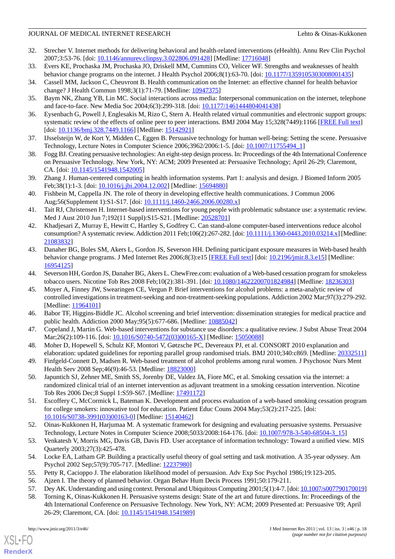- 32. Strecher V. Internet methods for delivering behavioral and health-related interventions (eHealth). Annu Rev Clin Psychol 2007;3:53-76. [doi: [10.1146/annurev.clinpsy.3.022806.091428\]](http://dx.doi.org/10.1146/annurev.clinpsy.3.022806.091428) [Medline: [17716048](http://www.ncbi.nlm.nih.gov/entrez/query.fcgi?cmd=Retrieve&db=PubMed&list_uids=17716048&dopt=Abstract)]
- <span id="page-17-1"></span><span id="page-17-0"></span>33. Evers KE, Prochaska JM, Prochaska JO, Driskell MM, Cummins CO, Velicer WF. Strengths and weaknesses of health behavior change programs on the internet. J Health Psychol 2006;8(1):63-70. [doi: [10.1177/1359105303008001435\]](http://dx.doi.org/10.1177/1359105303008001435)
- <span id="page-17-2"></span>34. Cassell MM, Jackson C, Cheuvront B. Health communication on the Internet: an effective channel for health behavior change? J Health Commun 1998;3(1):71-79. [Medline: [10947375\]](http://www.ncbi.nlm.nih.gov/entrez/query.fcgi?cmd=Retrieve&db=PubMed&list_uids=10947375&dopt=Abstract)
- <span id="page-17-3"></span>35. Baym NK, Zhang YB, Lin MC. Social interactions across media: Interpersonal communication on the internet, telephone and face-to-face. New Media Soc 2004;6(3):299-318. [doi: [10.1177/1461444804041438\]](http://dx.doi.org/10.1177/1461444804041438)
- <span id="page-17-4"></span>36. Eysenbach G, Powell J, Englesakis M, Rizo C, Stern A. Health related virtual communities and electronic support groups: systematic review of the effects of online peer to peer interactions. BMJ 2004 May 15;328(7449):1166 [[FREE Full text](http://bmj.com/cgi/pmidlookup?view=long&pmid=15142921)] [doi: [10.1136/bmj.328.7449.1166](http://dx.doi.org/10.1136/bmj.328.7449.1166)] [Medline: [15142921](http://www.ncbi.nlm.nih.gov/entrez/query.fcgi?cmd=Retrieve&db=PubMed&list_uids=15142921&dopt=Abstract)]
- <span id="page-17-5"></span>37. IJsselsteijn W, de Kort Y, Midden C, Eggen B. Persuasive technology for human well-being: Setting the scene. Persuasive Technology, Lecture Notes in Computer Science 2006;3962/2006:1-5. [doi: [10.1007/11755494\\_1](http://dx.doi.org/10.1007/11755494_1)]
- <span id="page-17-6"></span>38. Fogg BJ. Creating persuasive technologies: An eight-step design process. In: Proceedings of the 4th International Conference on Persuasive Technology. New York, NY: ACM; 2009 Presented at: Persuasive Technology; April 26-29; Claremont, CA. [doi: [10.1145/1541948.1542005\]](http://dx.doi.org/10.1145/1541948.1542005)
- <span id="page-17-7"></span>39. Zhang J. Human-centered computing in health information systems. Part 1: analysis and design. J Biomed Inform 2005 Feb;38(1):1-3. [doi: [10.1016/j.jbi.2004.12.002](http://dx.doi.org/10.1016/j.jbi.2004.12.002)] [Medline: [15694880\]](http://www.ncbi.nlm.nih.gov/entrez/query.fcgi?cmd=Retrieve&db=PubMed&list_uids=15694880&dopt=Abstract)
- <span id="page-17-8"></span>40. Fishbein M, Cappella JN. The role of theory in developing effective health communications. J Commun 2006 Aug;56(Supplement 1):S1-S17. [doi: [10.1111/j.1460-2466.2006.00280.x](http://dx.doi.org/10.1111/j.1460-2466.2006.00280.x)]
- <span id="page-17-9"></span>41. Tait RJ, Christensen H. Internet-based interventions for young people with problematic substance use: a systematic review. Med J Aust 2010 Jun 7;192(11 Suppl):S15-S21. [Medline: [20528701\]](http://www.ncbi.nlm.nih.gov/entrez/query.fcgi?cmd=Retrieve&db=PubMed&list_uids=20528701&dopt=Abstract)
- <span id="page-17-10"></span>42. Khadjesari Z, Murray E, Hewitt C, Hartley S, Godfrey C. Can stand-alone computer-based interventions reduce alcohol consumption? A systematic review. Addiction 2011 Feb;106(2):267-282. [doi: [10.1111/j.1360-0443.2010.03214.x](http://dx.doi.org/10.1111/j.1360-0443.2010.03214.x)] [Medline: [21083832](http://www.ncbi.nlm.nih.gov/entrez/query.fcgi?cmd=Retrieve&db=PubMed&list_uids=21083832&dopt=Abstract)]
- <span id="page-17-12"></span><span id="page-17-11"></span>43. Danaher BG, Boles SM, Akers L, Gordon JS, Severson HH. Defining participant exposure measures in Web-based health behavior change programs. J Med Internet Res 2006;8(3):e15 [\[FREE Full text\]](http://www.jmir.org/2006/3/e15/) [doi: [10.2196/jmir.8.3.e15](http://dx.doi.org/10.2196/jmir.8.3.e15)] [Medline: [16954125](http://www.ncbi.nlm.nih.gov/entrez/query.fcgi?cmd=Retrieve&db=PubMed&list_uids=16954125&dopt=Abstract)]
- 44. Severson HH, Gordon JS, Danaher BG, Akers L. ChewFree.com: evaluation of a Web-based cessation program for smokeless tobacco users. Nicotine Tob Res 2008 Feb;10(2):381-391. [doi: [10.1080/14622200701824984\]](http://dx.doi.org/10.1080/14622200701824984) [Medline: [18236303](http://www.ncbi.nlm.nih.gov/entrez/query.fcgi?cmd=Retrieve&db=PubMed&list_uids=18236303&dopt=Abstract)]
- <span id="page-17-14"></span><span id="page-17-13"></span>45. Moyer A, Finney JW, Swearingen CE, Vergun P. Brief interventions for alcohol problems: a meta-analytic review of controlled investigations in treatment-seeking and non-treatment-seeking populations. Addiction 2002 Mar;97(3):279-292. [Medline: [11964101](http://www.ncbi.nlm.nih.gov/entrez/query.fcgi?cmd=Retrieve&db=PubMed&list_uids=11964101&dopt=Abstract)]
- <span id="page-17-15"></span>46. Babor TF, Higgins-Biddle JC. Alcohol screening and brief intervention: dissemination strategies for medical practice and public health. Addiction 2000 May;95(5):677-686. [Medline: [10885042](http://www.ncbi.nlm.nih.gov/entrez/query.fcgi?cmd=Retrieve&db=PubMed&list_uids=10885042&dopt=Abstract)]
- <span id="page-17-16"></span>47. Copeland J, Martin G. Web-based interventions for substance use disorders: a qualitative review. J Subst Abuse Treat 2004 Mar;26(2):109-116. [doi: [10.1016/S0740-5472\(03\)00165-X](http://dx.doi.org/10.1016/S0740-5472(03)00165-X)] [Medline: [15050088](http://www.ncbi.nlm.nih.gov/entrez/query.fcgi?cmd=Retrieve&db=PubMed&list_uids=15050088&dopt=Abstract)]
- <span id="page-17-25"></span>48. Moher D, Hopewell S, Schulz KF, Montori V, Gøtzsche PC, Devereaux PJ, et al. CONSORT 2010 explanation and elaboration: updated guidelines for reporting parallel group randomised trials. BMJ 2010;340:c869. [Medline: [20332511](http://www.ncbi.nlm.nih.gov/entrez/query.fcgi?cmd=Retrieve&db=PubMed&list_uids=20332511&dopt=Abstract)]
- <span id="page-17-17"></span>49. Finfgeld-Connett D, Madsen R. Web-based treatment of alcohol problems among rural women. J Psychosoc Nurs Ment Health Serv 2008 Sep;46(9):46-53. [Medline: [18823000\]](http://www.ncbi.nlm.nih.gov/entrez/query.fcgi?cmd=Retrieve&db=PubMed&list_uids=18823000&dopt=Abstract)
- <span id="page-17-18"></span>50. Japuntich SJ, Zehner ME, Smith SS, Jorenby DE, Valdez JA, Fiore MC, et al. Smoking cessation via the internet: a randomized clinical trial of an internet intervention as adjuvant treatment in a smoking cessation intervention. Nicotine Tob Res 2006 Dec;8 Suppl 1:S59-S67. [Medline: [17491172\]](http://www.ncbi.nlm.nih.gov/entrez/query.fcgi?cmd=Retrieve&db=PubMed&list_uids=17491172&dopt=Abstract)
- <span id="page-17-20"></span><span id="page-17-19"></span>51. Escoffery C, McCormick L, Bateman K. Development and process evaluation of a web-based smoking cessation program for college smokers: innovative tool for education. Patient Educ Couns 2004 May;53(2):217-225. [doi: [10.1016/S0738-3991\(03\)00163-0\]](http://dx.doi.org/10.1016/S0738-3991(03)00163-0) [Medline: [15140462](http://www.ncbi.nlm.nih.gov/entrez/query.fcgi?cmd=Retrieve&db=PubMed&list_uids=15140462&dopt=Abstract)]
- <span id="page-17-21"></span>52. Oinas-Kukkonen H, Harjumaa M. A systematic framework for designing and evaluating persuasive systems. Persuasive Technology, Lecture Notes in Computer Science 2008;5033/2008:164-176. [doi: [10.1007/978-3-540-68504-3\\_15\]](http://dx.doi.org/10.1007/978-3-540-68504-3_15)
- <span id="page-17-24"></span><span id="page-17-23"></span><span id="page-17-22"></span>53. Venkatesh V, Morris MG, Davis GB, Davis FD. User acceptance of information technology: Toward a unified view. MIS Quarterly 2003;27(3):425-478.
- 54. Locke EA, Latham GP. Building a practically useful theory of goal setting and task motivation. A 35-year odyssey. Am Psychol 2002 Sep;57(9):705-717. [Medline: [12237980\]](http://www.ncbi.nlm.nih.gov/entrez/query.fcgi?cmd=Retrieve&db=PubMed&list_uids=12237980&dopt=Abstract)
- 55. Petty R, Cacioppo J. The elaboration likelihood model of persuasion. Adv Exp Soc Psychol 1986;19:123-205.
- 56. Ajzen I. The theory of planned behavior. Organ Behav Hum Decis Process 1991;50:179-211.
- 57. Dey AK. Understanding and using context. Personal and Ubiquitous Computing 2001;5(1):4-7. [doi: [10.1007/s007790170019\]](http://dx.doi.org/10.1007/s007790170019)
- 58. Torning K, Oinas-Kukkonen H. Persuasive systems design: State of the art and future directions. In: Proceedings of the 4th International Conference on Persuasive Technology. New York, NY: ACM; 2009 Presented at: Persuasive '09; April 26-29; Claremont, CA. [doi: [10.1145/1541948.1541989](http://dx.doi.org/10.1145/1541948.1541989)]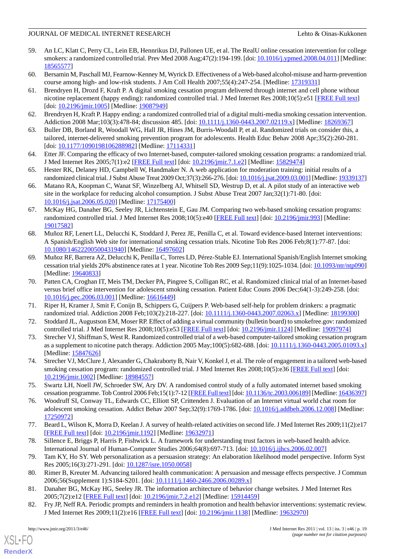- <span id="page-18-0"></span>59. An LC, Klatt C, Perry CL, Lein EB, Hennrikus DJ, Pallonen UE, et al. The RealU online cessation intervention for college smokers: a randomized controlled trial. Prev Med 2008 Aug;47(2):194-199. [doi: [10.1016/j.ypmed.2008.04.011](http://dx.doi.org/10.1016/j.ypmed.2008.04.011)] [Medline: [18565577](http://www.ncbi.nlm.nih.gov/entrez/query.fcgi?cmd=Retrieve&db=PubMed&list_uids=18565577&dopt=Abstract)]
- <span id="page-18-2"></span><span id="page-18-1"></span>60. Bersamin M, Paschall MJ, Fearnow-Kenney M, Wyrick D. Effectiveness of a Web-based alcohol-misuse and harm-prevention course among high- and low-risk students. J Am Coll Health 2007;55(4):247-254. [Medline: [17319331](http://www.ncbi.nlm.nih.gov/entrez/query.fcgi?cmd=Retrieve&db=PubMed&list_uids=17319331&dopt=Abstract)]
- 61. Brendryen H, Drozd F, Kraft P. A digital smoking cessation program delivered through internet and cell phone without nicotine replacement (happy ending): randomized controlled trial. J Med Internet Res 2008;10(5):e51 [\[FREE Full text\]](http://www.jmir.org/2008/5/e51/) [doi: [10.2196/jmir.1005\]](http://dx.doi.org/10.2196/jmir.1005) [Medline: [19087949\]](http://www.ncbi.nlm.nih.gov/entrez/query.fcgi?cmd=Retrieve&db=PubMed&list_uids=19087949&dopt=Abstract)
- <span id="page-18-4"></span><span id="page-18-3"></span>62. Brendryen H, Kraft P. Happy ending: a randomized controlled trial of a digital multi-media smoking cessation intervention. Addiction 2008 Mar;103(3):478-84; discussion 485. [doi: [10.1111/j.1360-0443.2007.02119.x\]](http://dx.doi.org/10.1111/j.1360-0443.2007.02119.x) [Medline: [18269367\]](http://www.ncbi.nlm.nih.gov/entrez/query.fcgi?cmd=Retrieve&db=PubMed&list_uids=18269367&dopt=Abstract)
- <span id="page-18-5"></span>63. Buller DB, Borland R, Woodall WG, Hall JR, Hines JM, Burris-Woodall P, et al. Randomized trials on consider this, a tailored, internet-delivered smoking prevention program for adolescents. Health Educ Behav 2008 Apr;35(2):260-281. [doi: [10.1177/1090198106288982](http://dx.doi.org/10.1177/1090198106288982)] [Medline: [17114331\]](http://www.ncbi.nlm.nih.gov/entrez/query.fcgi?cmd=Retrieve&db=PubMed&list_uids=17114331&dopt=Abstract)
- <span id="page-18-6"></span>64. Etter JF. Comparing the efficacy of two Internet-based, computer-tailored smoking cessation programs: a randomized trial. J Med Internet Res 2005;7(1):e2 [\[FREE Full text\]](http://www.jmir.org/2005/1/e2/) [doi: [10.2196/jmir.7.1.e2](http://dx.doi.org/10.2196/jmir.7.1.e2)] [Medline: [15829474](http://www.ncbi.nlm.nih.gov/entrez/query.fcgi?cmd=Retrieve&db=PubMed&list_uids=15829474&dopt=Abstract)]
- <span id="page-18-7"></span>65. Hester RK, Delaney HD, Campbell W, Handmaker N. A web application for moderation training: initial results of a randomized clinical trial. J Subst Abuse Treat 2009 Oct;37(3):266-276. [doi: [10.1016/j.jsat.2009.03.001](http://dx.doi.org/10.1016/j.jsat.2009.03.001)] [Medline: [19339137\]](http://www.ncbi.nlm.nih.gov/entrez/query.fcgi?cmd=Retrieve&db=PubMed&list_uids=19339137&dopt=Abstract)
- <span id="page-18-8"></span>66. Matano RA, Koopman C, Wanat SF, Winzelberg AJ, Whitsell SD, Westrup D, et al. A pilot study of an interactive web site in the workplace for reducing alcohol consumption. J Subst Abuse Treat 2007 Jan;32(1):71-80. [doi: [10.1016/j.jsat.2006.05.020\]](http://dx.doi.org/10.1016/j.jsat.2006.05.020) [Medline: [17175400](http://www.ncbi.nlm.nih.gov/entrez/query.fcgi?cmd=Retrieve&db=PubMed&list_uids=17175400&dopt=Abstract)]
- <span id="page-18-9"></span>67. McKay HG, Danaher BG, Seeley JR, Lichtenstein E, Gau JM. Comparing two web-based smoking cessation programs: randomized controlled trial. J Med Internet Res 2008;10(5):e40 [\[FREE Full text\]](http://www.jmir.org/2008/5/e40/) [doi: [10.2196/jmir.993\]](http://dx.doi.org/10.2196/jmir.993) [Medline: [19017582](http://www.ncbi.nlm.nih.gov/entrez/query.fcgi?cmd=Retrieve&db=PubMed&list_uids=19017582&dopt=Abstract)]
- <span id="page-18-10"></span>68. Muñoz RF, Lenert LL, Delucchi K, Stoddard J, Perez JE, Penilla C, et al. Toward evidence-based Internet interventions: A Spanish/English Web site for international smoking cessation trials. Nicotine Tob Res 2006 Feb;8(1):77-87. [doi: [10.1080/14622200500431940\]](http://dx.doi.org/10.1080/14622200500431940) [Medline: [16497602\]](http://www.ncbi.nlm.nih.gov/entrez/query.fcgi?cmd=Retrieve&db=PubMed&list_uids=16497602&dopt=Abstract)
- <span id="page-18-11"></span>69. Muñoz RF, Barrera AZ, Delucchi K, Penilla C, Torres LD, Pérez-Stable EJ. International Spanish/English Internet smoking cessation trial yields 20% abstinence rates at 1 year. Nicotine Tob Res 2009 Sep;11(9):1025-1034. [doi: [10.1093/ntr/ntp090\]](http://dx.doi.org/10.1093/ntr/ntp090) [Medline: [19640833](http://www.ncbi.nlm.nih.gov/entrez/query.fcgi?cmd=Retrieve&db=PubMed&list_uids=19640833&dopt=Abstract)]
- <span id="page-18-13"></span><span id="page-18-12"></span>70. Patten CA, Croghan IT, Meis TM, Decker PA, Pingree S, Colligan RC, et al. Randomized clinical trial of an Internet-based versus brief office intervention for adolescent smoking cessation. Patient Educ Couns 2006 Dec;64(1-3):249-258. [doi: [10.1016/j.pec.2006.03.001\]](http://dx.doi.org/10.1016/j.pec.2006.03.001) [Medline: [16616449](http://www.ncbi.nlm.nih.gov/entrez/query.fcgi?cmd=Retrieve&db=PubMed&list_uids=16616449&dopt=Abstract)]
- <span id="page-18-14"></span>71. Riper H, Kramer J, Smit F, Conijn B, Schippers G, Cuijpers P. Web-based self-help for problem drinkers: a pragmatic randomized trial. Addiction 2008 Feb;103(2):218-227. [doi: [10.1111/j.1360-0443.2007.02063.x\]](http://dx.doi.org/10.1111/j.1360-0443.2007.02063.x) [Medline: [18199300](http://www.ncbi.nlm.nih.gov/entrez/query.fcgi?cmd=Retrieve&db=PubMed&list_uids=18199300&dopt=Abstract)]
- <span id="page-18-15"></span>72. Stoddard JL, Augustson EM, Moser RP. Effect of adding a virtual community (bulletin board) to smokefree.gov: randomized controlled trial. J Med Internet Res 2008;10(5):e53 [\[FREE Full text\]](http://www.jmir.org/2008/5/e53/) [doi: [10.2196/jmir.1124](http://dx.doi.org/10.2196/jmir.1124)] [Medline: [19097974\]](http://www.ncbi.nlm.nih.gov/entrez/query.fcgi?cmd=Retrieve&db=PubMed&list_uids=19097974&dopt=Abstract)
- <span id="page-18-16"></span>73. Strecher VJ, Shiffman S, West R. Randomized controlled trial of a web-based computer-tailored smoking cessation program as a supplement to nicotine patch therapy. Addiction 2005 May;100(5):682-688. [doi: [10.1111/j.1360-0443.2005.01093.x](http://dx.doi.org/10.1111/j.1360-0443.2005.01093.x)] [Medline: [15847626](http://www.ncbi.nlm.nih.gov/entrez/query.fcgi?cmd=Retrieve&db=PubMed&list_uids=15847626&dopt=Abstract)]
- <span id="page-18-17"></span>74. Strecher VJ, McClure J, Alexander G, Chakraborty B, Nair V, Konkel J, et al. The role of engagement in a tailored web-based smoking cessation program: randomized controlled trial. J Med Internet Res 2008;10(5):e36 [[FREE Full text\]](http://www.jmir.org/2008/5/e36/) [doi: [10.2196/jmir.1002](http://dx.doi.org/10.2196/jmir.1002)] [Medline: [18984557](http://www.ncbi.nlm.nih.gov/entrez/query.fcgi?cmd=Retrieve&db=PubMed&list_uids=18984557&dopt=Abstract)]
- <span id="page-18-18"></span>75. Swartz LH, Noell JW, Schroeder SW, Ary DV. A randomised control study of a fully automated internet based smoking cessation programme. Tob Control 2006 Feb;15(1):7-12 [\[FREE Full text\]](http://tobaccocontrol.bmj.com/cgi/pmidlookup?view=long&pmid=16436397) [doi: [10.1136/tc.2003.006189](http://dx.doi.org/10.1136/tc.2003.006189)] [Medline: [16436397\]](http://www.ncbi.nlm.nih.gov/entrez/query.fcgi?cmd=Retrieve&db=PubMed&list_uids=16436397&dopt=Abstract)
- <span id="page-18-20"></span><span id="page-18-19"></span>76. Woodruff SI, Conway TL, Edwards CC, Elliott SP, Crittenden J. Evaluation of an Internet virtual world chat room for adolescent smoking cessation. Addict Behav 2007 Sep;32(9):1769-1786. [doi: [10.1016/j.addbeh.2006.12.008\]](http://dx.doi.org/10.1016/j.addbeh.2006.12.008) [Medline: [17250972](http://www.ncbi.nlm.nih.gov/entrez/query.fcgi?cmd=Retrieve&db=PubMed&list_uids=17250972&dopt=Abstract)]
- <span id="page-18-21"></span>77. Beard L, Wilson K, Morra D, Keelan J. A survey of health-related activities on second life. J Med Internet Res 2009;11(2):e17 [[FREE Full text](http://www.jmir.org/2009/2/e17/)] [doi: [10.2196/jmir.1192](http://dx.doi.org/10.2196/jmir.1192)] [Medline: [19632971](http://www.ncbi.nlm.nih.gov/entrez/query.fcgi?cmd=Retrieve&db=PubMed&list_uids=19632971&dopt=Abstract)]
- <span id="page-18-22"></span>78. Sillence E, Briggs P, Harris P, Fishwick L. A framework for understanding trust factors in web-based health advice. International Journal of Human-Computer Studies 2006;64(8):697-713. [doi: [10.1016/j.ijhcs.2006.02.007](http://dx.doi.org/10.1016/j.ijhcs.2006.02.007)]
- <span id="page-18-23"></span>79. Tam KY, Ho SY. Web personalization as a persuasion strategy: An elaboration likelihood model perspective. Inform Syst Res 2005;16(3):271-291. [doi: [10.1287/isre.1050.0058\]](http://dx.doi.org/10.1287/isre.1050.0058)
- 80. Rimer B, Kreuter M. Advancing tailored health communication: A persuasion and message effects perspective. J Commun 2006;56(Supplement 1):S184-S201. [doi: [10.1111/j.1460-2466.2006.00289.x](http://dx.doi.org/10.1111/j.1460-2466.2006.00289.x)]
- 81. Danaher BG, McKay HG, Seeley JR. The information architecture of behavior change websites. J Med Internet Res 2005;7(2):e12 [\[FREE Full text](http://www.jmir.org/2005/2/e12/)] [doi: [10.2196/jmir.7.2.e12\]](http://dx.doi.org/10.2196/jmir.7.2.e12) [Medline: [15914459\]](http://www.ncbi.nlm.nih.gov/entrez/query.fcgi?cmd=Retrieve&db=PubMed&list_uids=15914459&dopt=Abstract)
- 82. Fry JP, Neff RA. Periodic prompts and reminders in health promotion and health behavior interventions: systematic review. J Med Internet Res 2009;11(2):e16 [\[FREE Full text\]](http://www.jmir.org/2009/2/e16/) [doi: [10.2196/jmir.1138\]](http://dx.doi.org/10.2196/jmir.1138) [Medline: [19632970\]](http://www.ncbi.nlm.nih.gov/entrez/query.fcgi?cmd=Retrieve&db=PubMed&list_uids=19632970&dopt=Abstract)